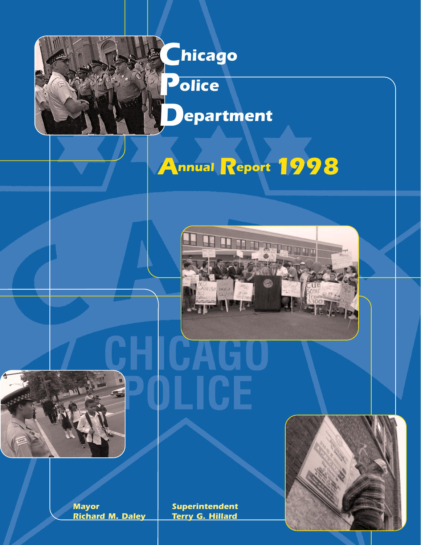

*Annual Report 1998*







**Mayor Superintendent Superintendent**<br>**Richard M. Daley Terry G. Hillard** *Richard M. Daley*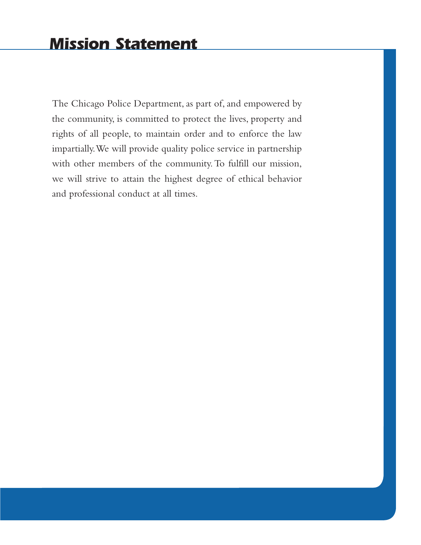The Chicago Police Department, as part of, and empowered by the community, is committed to protect the lives, property and rights of all people, to maintain order and to enforce the law impartially.We will provide quality police service in partnership with other members of the community. To fulfill our mission, we will strive to attain the highest degree of ethical behavior and professional conduct at all times.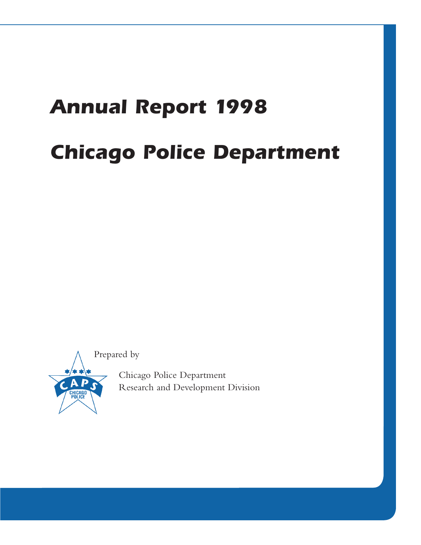## *Annual Report 1998 Chicago Police Department*

Prepared by



Chicago Police Department Research and Development Division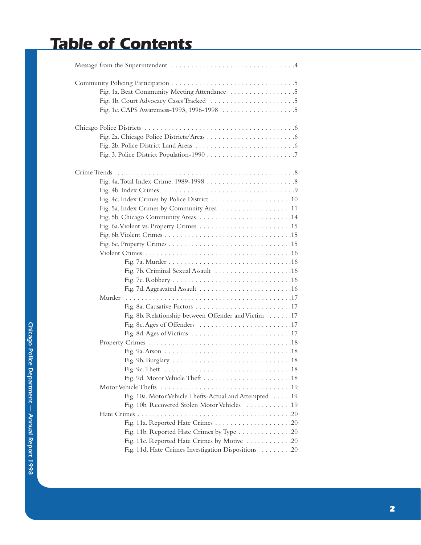## *Table of Contents*

| Murder                                                 |
|--------------------------------------------------------|
|                                                        |
| Fig. 8b. Relationship between Offender and Victim 17   |
|                                                        |
|                                                        |
|                                                        |
|                                                        |
|                                                        |
|                                                        |
|                                                        |
|                                                        |
| Fig. 10a. Motor Vehicle Thefts-Actual and Attempted 19 |
| Fig. 10b. Recovered Stolen Motor Vehicles 19           |
|                                                        |
|                                                        |
| Fig. 11b. Reported Hate Crimes by Type 20              |
| Fig. 11c. Reported Hate Crimes by Motive 20            |
| Fig. 11d. Hate Crimes Investigation Dispositions 20    |
|                                                        |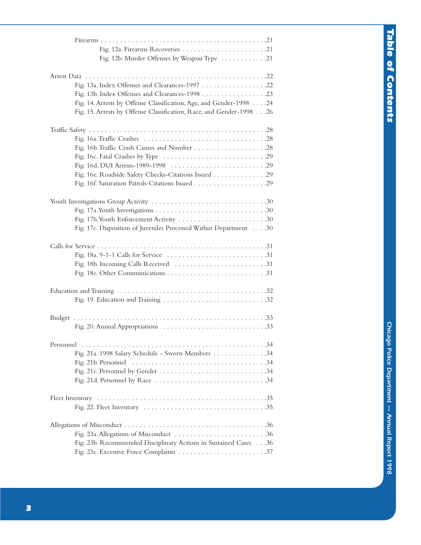| Fig. 12b. Murder Offenses by Weapon Type 21                                                                                                 |  |
|---------------------------------------------------------------------------------------------------------------------------------------------|--|
| Fig. 14. Arrests by Offense Classification, Age, and Gender-1998 24<br>Fig. 15. Arrests by Offense Classification, Race, and Gender-1998 26 |  |
| Fig. 16e. Roadside Safety Checks-Citations Issued 29                                                                                        |  |
| Fig. 17c. Disposition of Juveniles Processed Within Department 30                                                                           |  |
| Fig. 18b. Incoming Calls Received 31                                                                                                        |  |
|                                                                                                                                             |  |
|                                                                                                                                             |  |
| Fig. 21a. 1998 Salary Schedule - Sworn Members 34                                                                                           |  |
|                                                                                                                                             |  |
| Fig. 23a. Allegations of Misconduct 36<br>Fig. 23b. Recommended Disciplinary Actions in Sustained Cases 36                                  |  |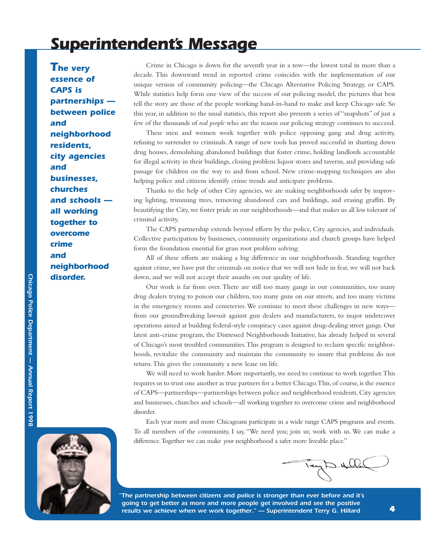## *Superintendent's Message*

*The very essence of CAPS is partnerships between police and neighborhood residents, city agencies and businesses, churches and schools all working together to overcome crime and neighborhood disorder.*

Crime in Chicago is down for the seventh year in a row—the lowest total in more than a decade. This downward trend in reported crime coincides with the implementation of our unique version of community policing—the Chicago Alternative Policing Strategy, or CAPS. While statistics help form one view of the success of our policing model, the pictures that best tell the story are those of the people working hand-in-hand to make and keep Chicago safe. So this year, in addition to the usual statistics, this report also presents a series of "snapshots" of just a few of the thousands of *real people* who are the reason our policing strategy continues to succeed.

These men and women work together with police opposing gang and drug activity, refusing to surrender to criminals. A range of new tools has proved successful in shutting down drug houses, demolishing abandoned buildings that foster crime, holding landlords accountable for illegal activity in their buildings, closing problem liquor stores and taverns, and providing safe passage for children on the way to and from school. New crime-mapping techniques are also helping police and citizens identify crime trends and anticipate problems.

Thanks to the help of other City agencies, we are making neighborhoods safer by improving lighting, trimming trees, removing abandoned cars and buildings, and erasing graffiti. By beautifying the City, we foster pride in our neighborhoods—and that makes us all less tolerant of criminal activity.

The CAPS partnership extends beyond efforts by the police, City agencies, and individuals. Collective participation by businesses, community organizations and church groups have helped form the foundation essential for grass root problem solving.

All of these efforts are making a big difference in our neighborhoods. Standing together against crime, we have put the criminals on notice that we will not hide in fear, we will not back down, and we will not accept their assaults on our quality of life.

Our work is far from over. There are still too many gangs in our communities, too many drug dealers trying to poison our children, too many guns on our streets, and too many victims in the emergency rooms and cemeteries.We continue to meet these challenges in new ways from our groundbreaking lawsuit against gun dealers and manufacturers, to major undercover operations aimed at building federal-style conspiracy cases against drug-dealing street gangs. Our latest anti-crime program, the Distressed Neighborhoods Initiative, has already helped in several of Chicago's most troubled communities.This program is designed to reclaim specific neighborhoods, revitalize the community and maintain the community to insure that problems do not return.This gives the community a new lease on life.

We will need to work harder. More importantly, we need to continue to work together.This requires us to trust one another as true partners for a better Chicago.This, of course, is the essence of CAPS—partnerships—partnerships between police and neighborhood residents, City agencies and businesses, churches and schools—all working together to overcome crime and neighborhood disorder.

Each year more and more Chicagoans participate in a wide range CAPS programs and events. To all members of the community, I say, "We need you; join us; work with us. We can make a difference.Together we can make *your* neighborhood a safer more liveable place."



 $\mathcal{Q}$ 

*"The partnership between citizens and police is stronger than ever before and it's going to get better as more and more people get involved and see the positive results we achieve when we work together." — Superintendent Terry G. Hillard*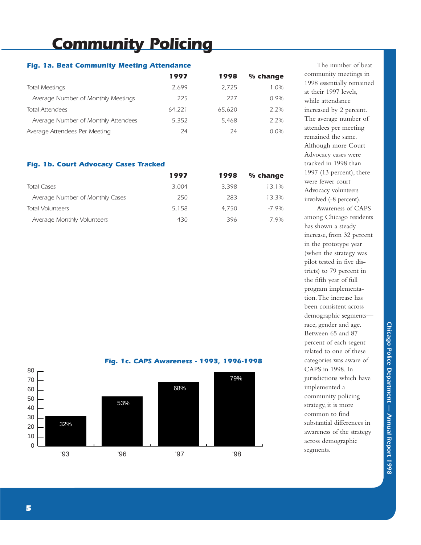## *Community Policing*

### *Fig. 1a. Beat Community Meeting Attendance*

|                                     | 1997   | 1998   | % change |
|-------------------------------------|--------|--------|----------|
| <b>Total Meetings</b>               | 2.699  | 2.725  | $1.0\%$  |
| Average Number of Monthly Meetings  | 225    | 227    | 0.9%     |
| <b>Total Attendees</b>              | 64.221 | 65.620 | 2 2%     |
| Average Number of Monthly Attendees | 5.352  | 5.468  | 2 2%     |
| Average Attendees Per Meeting       | 24     | 24     | $0.0\%$  |

### *Fig. 1b. Court Advocacy Cases Tracked*

|                                 | 1997  | 1998  | % change  |
|---------------------------------|-------|-------|-----------|
| <b>Total Cases</b>              | 3.004 | 3.398 | $1.3.1\%$ |
| Average Number of Monthly Cases | 250   | 283   | 13.3%     |
| <b>Total Volunteers</b>         | 5.158 | 4.750 | $-7.9\%$  |
| Average Monthly Volunteers      | 430   | 396   | $-79%$    |



*Fig. 1c. CAPS Awareness - 1993, 1996-1998*



The number of beat community meetings in 1998 essentially remained at their 1997 levels, while attendance increased by 2 percent. The average number of attendees per meeting remained the same. Although more Court Advocacy cases were tracked in 1998 than 1997 (13 percent), there were fewer court Advocacy volunteers involved (-8 percent).

Awareness of CAPS among Chicago residents has shown a steady increase, from 32 percent in the prototype year (when the strategy was pilot tested in five districts) to 79 percent in the fifth year of full program implementation.The increase has been consistent across demographic segments race, gender and age. Between 65 and 87 percent of each segent related to one of these categories was aware of CAPS in 1998. In jurisdictions which have implemented a community policing strategy, it is more common to find substantial differences in awareness of the strategy across demographic segments.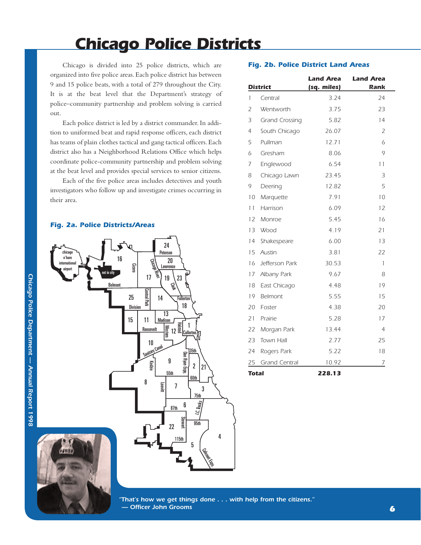## *Chicago Police Districts*

Chicago is divided into 25 police districts, which are organized into five police areas.Each police district has between 9 and 15 police beats, with a total of 279 throughout the City. It is at the beat level that the Department's strategy of police–community partnership and problem solving is carried out.

Each police district is led by a district commander. In addition to uniformed beat and rapid response officers, each district has teams of plain clothes tactical and gang tactical officers.Each district also has a Neighborhood Relations Office which helps coordinate police-community partnership and problem solving at the beat level and provides special services to senior citizens.

Each of the five police areas includes detectives and youth investigators who follow up and investigate crimes occurring in their area.

#### *Fig. 2a. Police Districts/Areas*



|                 | <b>District</b>       | (sq. miles) | Rank           |
|-----------------|-----------------------|-------------|----------------|
| 1               | Central               | 3.24        | 24             |
| $\mathcal{L}$   | Wentworth             | 3.75        | 23             |
| 3               | <b>Grand Crossing</b> | 5.82        | 14             |
| 4               | South Chicago         | 26.07       | $\overline{2}$ |
| 5               | Pullman               | 12.71       | 6              |
| 6               | Gresham               | 8.06        | 9              |
| 7               | Englewood             | 6.54        | 11             |
| 8               | Chicago Lawn          | 23.45       | 3              |
| 9               | Deering               | 12.82       | 5              |
| 10 <sup>°</sup> | Marquette             | 7.91        | 10             |
| 11              | Harrison              | 6.09        | 12             |

*Fig. 2b. Police District Land Areas*

*Land Area Land Area* 

| Total        |                      | 228.13 |              |
|--------------|----------------------|--------|--------------|
| 25           | <b>Grand Central</b> | 10.92  | 7            |
| 24           | Rogers Park          | 5.22   | 18           |
| 23           | Town Hall            | 2.77   | 25           |
|              | 22 Morgan Park       | 13.44  | 4            |
| 21           | Prairie              | 5.28   | 17           |
|              | 20 Foster            | 4.38   | 20           |
| 19           | Belmont              | 5.55   | 15           |
| 18           | East Chicago         | 4.48   | 19           |
| 17           | Albany Park          | 9.67   | 8            |
| 16           | Jefferson Park       | 30.53  | $\mathbf{1}$ |
| 15           | Austin               | 3.81   | 22           |
|              | 14 Shakespeare       | 6.00   | 13           |
| 13           | <b>Wood</b>          | 4.19   | 21           |
| 12           | Monroe               | 5.45   | 16           |
| 11           | Harrison             | 6.09   | 12           |
| 10           | Marquette            | 7.91   | 10           |
| 9            | Deering              | 12.82  | 5            |
| 8            | Chicago Lawn         | 23.45  | 3            |
| 7            | Englewood            | 6.54   | 11           |
| $\checkmark$ | ו ו וואו וכא וכי     | U.VU   |              |



*"That's how we get things done . . . with help from the citizens." — Officer John Grooms*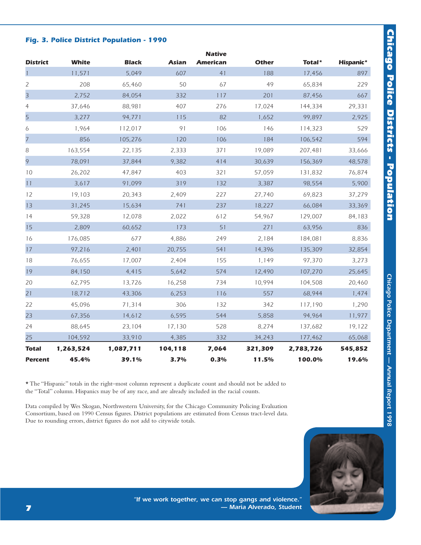# **Chicago Police Districts - Population** *Chicago Police Districts - Population*

### *Fig. 3. Police District Population - 1990*

| <b>District</b> | <b>White</b> | <b>Black</b> | <b>Asian</b> | <b>Native</b><br><b>American</b> | <b>Other</b> | Total*    | Hispanic* |
|-----------------|--------------|--------------|--------------|----------------------------------|--------------|-----------|-----------|
|                 | 11,571       | 5,049        | 607          | 41                               | 188          | 17,456    | 897       |
| 2               | 208          | 65,460       | 50           | 67                               | 49           | 65,834    | 229       |
| 3               | 2,752        | 84,054       | 332          | 117                              | 201          | 87,456    | 667       |
| $\overline{4}$  | 37,646       | 88,981       | 407          | 276                              | 17,024       | 144,334   | 29,331    |
| 5               | 3,277        | 94,771       | 115          | 82                               | 1,652        | 99,897    | 2,925     |
| 6               | 1,964        | 112,017      | 91           | 106                              | 146          | 114,323   | 529       |
| 7               | 856          | 105,276      | 120          | 106                              | 184          | 106,542   | 594       |
| 8               | 163,554      | 22,135       | 2,333        | 371                              | 19,089       | 207,481   | 33,666    |
| 9               | 78,091       | 37,844       | 9,382        | 414                              | 30,639       | 156,369   | 48,578    |
| 10              | 26,202       | 47,847       | 403          | 321                              | 57,059       | 131,832   | 76,874    |
| 11              | 3,617        | 91,099       | 319          | 132                              | 3,387        | 98,554    | 5,900     |
| 12              | 19.103       | 20,343       | 2,409        | 227                              | 27.740       | 69,823    | 37,279    |
| 13              | 31,245       | 15,634       | 741          | 237                              | 18,227       | 66,084    | 33,369    |
| 14              | 59,328       | 12,078       | 2,022        | 612                              | 54,967       | 129,007   | 84,183    |
| 15              | 2,809        | 60,652       | 173          | 51                               | 271          | 63,956    | 836       |
| 16              | 176,085      | 677          | 4,886        | 249                              | 2,184        | 184,081   | 8,836     |
| 17              | 97,216       | 2,401        | 20,755       | 541                              | 14,396       | 135,309   | 32,854    |
| 18              | 76,655       | 17,007       | 2,404        | 155                              | 1,149        | 97,370    | 3,273     |
| 19              | 84,150       | 4,415        | 5,642        | 574                              | 12,490       | 107,270   | 25,645    |
| 20              | 62,795       | 13,726       | 16,258       | 734                              | 10,994       | 104,508   | 20,460    |
| 21              | 18,712       | 43,306       | 6,253        | 116                              | 557          | 68,944    | 1,474     |
| 22              | 45,096       | 71,314       | 306          | 132                              | 342          | 117,190   | 1,290     |
| 23              | 67,356       | 14,612       | 6,595        | 544                              | 5,858        | 94.964    | 11,977    |
| 24              | 88,645       | 23,104       | 17,130       | 528                              | 8,274        | 137,682   | 19,122    |
| 25              | 104,592      | 33,910       | 4,385        | 332                              | 34,243       | 177,462   | 65,068    |
| <b>Total</b>    | 1,263,524    | 1,087,711    | 104,118      | 7,064                            | 321,309      | 2,783,726 | 545,852   |
| <b>Percent</b>  | 45.4%        | 39.1%        | 3.7%         | 0.3%                             | 11.5%        | 100.0%    | 19.6%     |

\* The "Hispanic" totals in the right–most column represent a duplicate count and should not be added to the "Total" column. Hispanics may be of any race, and are already included in the racial counts.

Data compiled by Wes Skogan, Northwestern University, for the Chicago Community Policing Evaluation Consortium, based on 1990 Census figures. District populations are estimated from Census tract-level data. Due to rounding errors, district figures do not add to citywide totals.



*"If we work together, we can stop gangs and violence." — Maria Alverado, Student*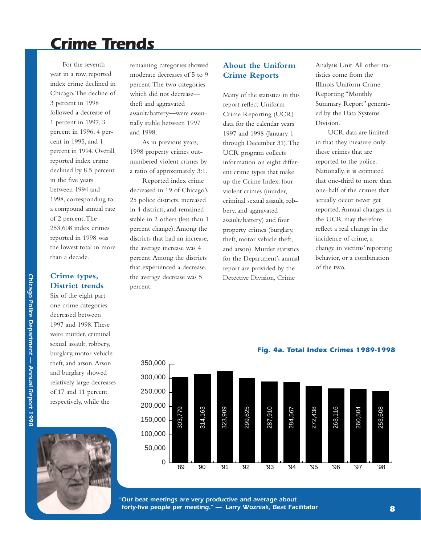## *Crime Trends*

For the seventh year in a row, reported index crime declined in Chicago.The decline of 3 percent in 1998 followed a decrease of 1 percent in 1997, 3 percent in 1996, 4 percent in 1995, and 1 percent in 1994. Overall, reported index crime declined by 8.5 percent in the five years between 1994 and 1998, corresponding to a compound annual rate of 2 percent.The 253,608 index crimes reported in 1998 was the lowest total in more than a decade.

### **Crime types, District trends**

Six of the eight part one crime categories decreased between 1997 and 1998.These were murder, criminal sexual assault, robbery, burglary, motor vehicle theft, and arson.Arson and burglary showed relatively large decreases of 17 and 11 percent respectively, while the



remaining categories showed moderate decreases of 5 to 9 percent.The two categories which did not decreasetheft and aggravated assault/battery—were essentially stable between 1997 and 1998.

As in previous years, 1998 property crimes outnumbered violent crimes by a ratio of approximately 3:1.

Reported index crime decreased in 19 of Chicago's 25 police districts, increased in 4 districts, and remained stable in 2 others (less than 1 percent change).Among the districts that had an increase, the average increase was 4 percent.Among the districts that experienced a decrease. the average decrease was 5 percent.

### **About the Uniform Crime Reports**

Many of the statistics in this report reflect Uniform Crime Reporting (UCR) data for the calendar years 1997 and 1998 (January 1 through December 31).The UCR program collects information on eight different crime types that make up the Crime Index: four violent crimes (murder, criminal sexual assault, robbery, and aggravated assault/battery) and four property crimes (burglary, theft, motor vehicle theft, and arson). Murder statistics for the Department's annual report are provided by the Detective Division, Crime

Analysis Unit.All other statistics come from the Illinois Uniform Crime Reporting "Monthly Summary Report" generated by the Data Systems Division.

UCR data are limited in that they measure only those crimes that are reported to the police. Nationally, it is estimated that one-third to more than one-half of the crimes that actually occur never get reported.Annual changes in the UCR may therefore reflect a real change in the incidence of crime, a change in victims' reporting behavior, or a combination of the two.



*"Our beat meetings are very productive and average about forty-five people per meeting." — Larry Wozniak, Beat Facilitator*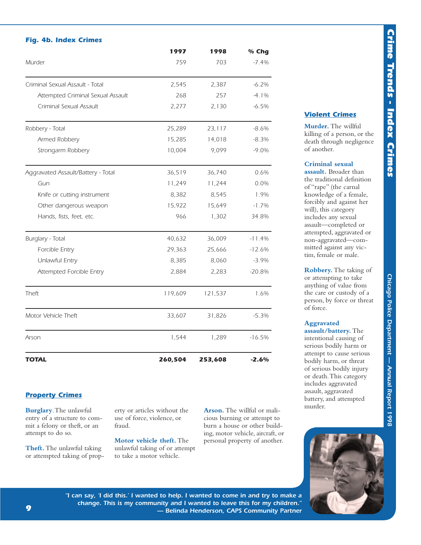### *Fig. 4b. Index Crimes*

|                                    | 1997    | 1998    | % Chg    |
|------------------------------------|---------|---------|----------|
| Murder                             | 759     | 703     | $-7.4%$  |
| Criminal Sexual Assault - Total    | 2,545   | 2,387   | $-6.2%$  |
| Attempted Criminal Sexual Assault  | 268     | 257     | $-4.1\%$ |
| Criminal Sexual Assault            | 2,277   | 2,130   | $-6.5%$  |
| Robbery - Total                    | 25,289  | 23,117  | $-8.6%$  |
| Armed Robbery                      | 15,285  | 14,018  | $-8.3%$  |
| Strongarm Robbery                  | 10,004  | 9,099   | $-9.0\%$ |
| Aggravated Assault/Battery - Total | 36,519  | 36,740  | 0.6%     |
| Gun                                | 11,249  | 11,244  | 0.0%     |
| Knife or cutting instrument        | 8,382   | 8,545   | 1.9%     |
| Other dangerous weapon             | 15,922  | 15,649  | $-1.7%$  |
| Hands, fists, feet, etc.           | 966     | 1,302   | 34.8%    |
| Burglary - Total                   | 40,632  | 36,009  | $-11.4%$ |
| Forcible Entry                     | 29,363  | 25,666  | $-12.6%$ |
| Unlawful Entry                     | 8,385   | 8,060   | $-3.9%$  |
| Attempted Forcible Entry           | 2,884   | 2,283   | $-20.8%$ |
| Theft                              | 119,609 | 121,537 | 1.6%     |
| Motor Vehicle Theft                | 33,607  | 31,826  | $-5.3%$  |
| Arson                              | 1,544   | 1,289   | $-16.5%$ |
| <b>TOTAL</b>                       | 260,504 | 253,608 | $-2.6%$  |

### *Property Crimes*

**Burglary**.The unlawful entry of a structure to commit a felony or theft, or an attempt to do so.

**Theft.** The unlawful taking or attempted taking of property or articles without the use of force, violence, or fraud.

**Motor vehicle theft.** The unlawful taking of or attempt to take a motor vehicle.

**Arson.** The willful or malicious burning or attempt to burn a house or other building, motor vehicle, aircraft, or personal property of another.

## *Violent Crimes*

**Murder.** The willful killing of a person, or the death through negligence of another.

### **Criminal sexual**

**assault.** Broader than the traditional definition of "rape" (the carnal knowledge of a female, forcibly and against her will), this category includes any sexual assault—completed or attempted, aggravated or non-aggravated—committed against any victim, female or male.

**Robbery.** The taking of or attempting to take anything of value from the care or custody of a person, by force or threat of force.

### **Aggravated assault/battery.** The

intentional causing of serious bodily harm or attempt to cause serious bodily harm, or threat of serious bodily injury or death.This category includes aggravated assault, aggravated battery, and attempted murder.



*"I can say, 'I did this.' I wanted to help. I wanted to come in and try to make a change. This is my community and I wanted to leave this for my children." — Belinda Henderson, CAPS Community Partner*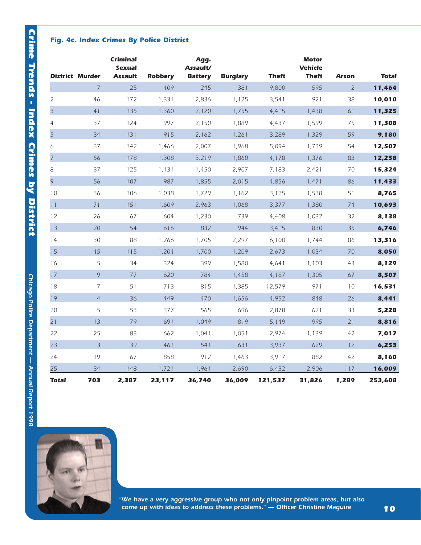### *Fig. 4c. Index Crimes By Police District*

|                | <b>District Murder</b> | <b>Criminal</b><br><b>Sexual</b><br><b>Assault</b> | <b>Robbery</b> | Agg.<br>Assault/<br><b>Battery</b> | <b>Burglary</b> | <b>Theft</b> | <b>Motor</b><br><b>Vehicle</b><br><b>Theft</b> | <b>Arson</b>   | <b>Total</b> |
|----------------|------------------------|----------------------------------------------------|----------------|------------------------------------|-----------------|--------------|------------------------------------------------|----------------|--------------|
| $\mathbf{1}$   | $\overline{7}$         | 25                                                 | 409            | 245                                | 381             | 9,800        | 595                                            | $\overline{2}$ | 11,464       |
| 2              | 46                     | 172                                                | 1,331          | 2,836                              | 1,125           | 3,541        | 921                                            | 38             | 10,010       |
| 3              | 41                     | 135                                                | 1,360          | 2,120                              | 1,755           | 4,415        | 1,438                                          | 61             | 11,325       |
| $\overline{4}$ | 37                     | 124                                                | 997            | 2,150                              | 1,889           | 4,437        | 1,599                                          | 75             | 11,308       |
| $\overline{5}$ | 34                     | 131                                                | 915            | 2,162                              | 1,261           | 3,289        | 1,329                                          | 59             | 9,180        |
| 6              | 37                     | 142                                                | 1,466          | 2,007                              | 1,968           | 5,094        | 1,739                                          | 54             | 12,507       |
| $\overline{7}$ | 56                     | 178                                                | 1,308          | 3,219                              | 1,860           | 4,178        | 1,376                                          | 83             | 12,258       |
| 8              | 37                     | 125                                                | 1,131          | 1,450                              | 2,907           | 7,183        | 2,421                                          | 70             | 15,324       |
| 9              | 56                     | 107                                                | 987            | 1,855                              | 2,015           | 4,856        | 1,471                                          | 86             | 11,433       |
| 10             | 36                     | 106                                                | 1,038          | 1,729                              | 1,162           | 3,125        | 1,518                                          | 51             | 8,765        |
| 11             | 71                     | 151                                                | 1,609          | 2,963                              | 1,068           | 3,377        | 1,380                                          | 74             | 10,693       |
| 12             | 26                     | 67                                                 | 604            | 1,230                              | 739             | 4,408        | 1,032                                          | 32             | 8,138        |
| 13             | 20                     | 54                                                 | 616            | 832                                | 944             | 3,415        | 830                                            | 35             | 6,746        |
| 14             | 30                     | 88                                                 | 1,266          | 1,705                              | 2,297           | 6,100        | 1,744                                          | 86             | 13,316       |
| 15             | 45                     | 115                                                | 1,204          | 1,700                              | 1,209           | 2,673        | 1,034                                          | 70             | 8,050        |
| 16             | 5                      | 34                                                 | 324            | 399                                | 1,580           | 4,641        | 1,103                                          | 43             | 8,129        |
| 17             | 9                      | 77                                                 | 620            | 784                                | 1,458           | 4,187        | 1,305                                          | 67             | 8,507        |
| 18             | $\overline{7}$         | 51                                                 | 713            | 815                                | 1,385           | 12,579       | 971                                            | 10             | 16,531       |
| 19             | $\overline{4}$         | 36                                                 | 449            | 470                                | 1,656           | 4,952        | 848                                            | 26             | 8,441        |
| 20             | 5                      | 53                                                 | 377            | 565                                | 696             | 2,878        | 621                                            | 33             | 5,228        |
| 21             | 13                     | 79                                                 | 691            | 1,049                              | 819             | 5,149        | 995                                            | 21             | 8,816        |
| 22             | 25                     | 83                                                 | 662            | 1,041                              | 1,051           | 2,974        | 1,139                                          | 42             | 7,017        |
| 23             | $\overline{3}$         | 39                                                 | 461            | 541                                | 631             | 3,937        | 629                                            | 12             | 6,253        |
| 24             | 19                     | 67                                                 | 858            | 912                                | 1,463           | 3,917        | 882                                            | 42             | 8,160        |
| 25             | 34                     | 148                                                | 1,721          | 1,961                              | 2,690           | 6,432        | 2,906                                          | 117            | 16,009       |
| <b>Total</b>   | 703                    | 2,387                                              | 23,117         | 36,740                             | 36,009          | 121,537      | 31,826                                         | 1,289          | 253,608      |



*"We have a very aggressive group who not only pinpoint problem areas, but also come up with ideas to address these problems." — Officer Christine Maguire*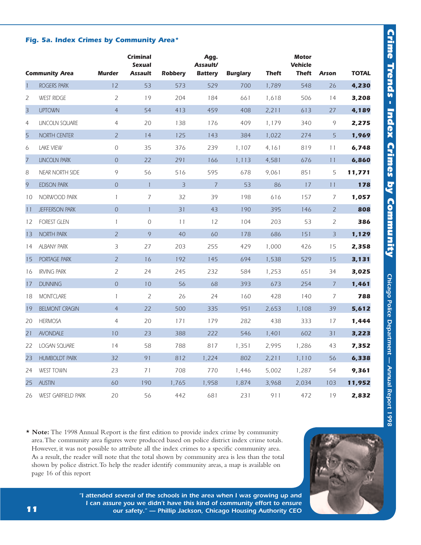### *Fig. 5a. Index Crimes by Community Area\**

|                | <b>Community Area</b>     | <b>Murder</b>  | <b>Criminal</b><br><b>Sexual</b><br><b>Assault</b> | <b>Robbery</b> | Agg.<br><b>Assault/</b><br><b>Battery</b> | <b>Burglary</b> | <b>Theft</b> | <b>Motor</b><br><b>Vehicle</b><br>Theft | <b>Arson</b>   | <b>TOTAL</b> |
|----------------|---------------------------|----------------|----------------------------------------------------|----------------|-------------------------------------------|-----------------|--------------|-----------------------------------------|----------------|--------------|
| $\overline{1}$ | ROGERS PARK               | 12             | 53                                                 | 573            | 529                                       | 700             | 1,789        | 548                                     | 26             | 4,230        |
| $\overline{2}$ | <b>WEST RIDGE</b>         | $\overline{2}$ | 19                                                 | 204            | 184                                       | 661             | 1,618        | 506                                     | 14             | 3,208        |
| $\overline{3}$ | <b>UPTOWN</b>             | $\overline{4}$ | 54                                                 | 413            | 459                                       | 408             | 2,211        | 613                                     | 27             | 4,189        |
| $\overline{4}$ | <b>LINCOLN SQUARE</b>     | $\overline{4}$ | 20                                                 | 138            | 176                                       | 409             | 1,179        | 340                                     | 9              | 2,275        |
| 5              | NORTH CENTER              | $\overline{2}$ | 14                                                 | 125            | 143                                       | 384             | 1,022        | 274                                     | 5              | 1,969        |
| 6              | <b>LAKE VIEW</b>          | $\mathcal O$   | 35                                                 | 376            | 239                                       | 1,107           | 4,161        | 819                                     | 11             | 6,748        |
| $\overline{7}$ | <b>LINCOLN PARK</b>       | $\overline{0}$ | 22                                                 | 291            | 166                                       | 1,113           | 4,581        | 676                                     | 11             | 6,860        |
| 8              | <b>NEAR NORTH SIDE</b>    | 9              | 56                                                 | 516            | 595                                       | 678             | 9,061        | 851                                     | 5              | 11,771       |
| 9              | <b>EDISON PARK</b>        | $\overline{O}$ | $\overline{1}$                                     | $\overline{3}$ | $\overline{7}$                            | 53              | 86           | 17                                      | 11             | 178          |
| 10             | NORWOOD PARK              | $\mathbf{1}$   | $\overline{7}$                                     | 32             | 39                                        | 198             | 616          | 157                                     | 7              | 1,057        |
| 11             | JEFFERSON PARK            | $\overline{0}$ | $\mathbf{1}$                                       | 31             | 43                                        | 190             | 395          | 146                                     | $\overline{2}$ | 808          |
| 12             | <b>FOREST GLEN</b>        | $\mathbf{1}$   | $\overline{0}$                                     | 11             | 12                                        | 104             | 203          | 53                                      | $\overline{2}$ | 386          |
| 13             | <b>NORTH PARK</b>         | $\overline{2}$ | 9                                                  | 40             | 60                                        | 178             | 686          | 151                                     | $\overline{3}$ | 1,129        |
| 14             | <b>ALBANY PARK</b>        | 3              | 27                                                 | 203            | 255                                       | 429             | 1,000        | 426                                     | 15             | 2,358        |
| 15             | <b>PORTAGE PARK</b>       | $\overline{2}$ | 16                                                 | 192            | 145                                       | 694             | 1,538        | 529                                     | 15             | 3,131        |
| 16             | <b>IRVING PARK</b>        | $\overline{2}$ | 24                                                 | 245            | 232                                       | 584             | 1,253        | 651                                     | 34             | 3,025        |
| 17             | <b>DUNNING</b>            | $\mathbf 0$    | 10                                                 | 56             | 68                                        | 393             | 673          | 254                                     | $\overline{7}$ | 1,461        |
| 18             | <b>MONTCLARE</b>          | $\mathbf{1}$   | $\overline{2}$                                     | 26             | 24                                        | 160             | 428          | 140                                     | $\overline{7}$ | 788          |
| 19             | <b>BELMONT CRAGIN</b>     | $\overline{4}$ | 22                                                 | 500            | 335                                       | 951             | 2,653        | 1,108                                   | 39             | 5,612        |
| 20             | <b>HERMOSA</b>            | $\overline{4}$ | 20                                                 | 171            | 179                                       | 282             | 438          | 333                                     | 17             | 1,444        |
| 21             | <b>AVONDALE</b>           | 10             | 23                                                 | 388            | 222                                       | 546             | 1,401        | 602                                     | 31             | 3,223        |
| 22             | <b>LOGAN SQUARE</b>       | 14             | 58                                                 | 788            | 817                                       | 1,351           | 2,995        | 1,286                                   | 43             | 7,352        |
| 23             | <b>HUMBOLDT PARK</b>      | 32             | 91                                                 | 812            | 1,224                                     | 802             | 2,211        | 1,110                                   | 56             | 6,338        |
| 24             | <b>WEST TOWN</b>          | 23             | 71                                                 | 708            | 770                                       | 1,446           | 5,002        | 1,287                                   | 54             | 9,361        |
| 25             | <b>AUSTIN</b>             | 60             | 190                                                | 1,765          | 1,958                                     | 1,874           | 3,968        | 2,034                                   | 103            | 11,952       |
| 26             | <b>WEST GARFIELD PARK</b> | 20             | 56                                                 | 442            | 681                                       | 231             | 911          | 472                                     | 19             | 2,832        |

**\* Note:** The 1998 Annual Report is the first edition to provide index crime by community area.The community area figures were produced based on police district index crime totals. However, it was not possible to attribute all the index crimes to a specific community area. As a result, the reader will note that the total shown by community area is less than the total shown by police district.To help the reader identify community areas, a map is available on page 16 of this report



*"I attended several of the schools in the area when I was growing up and I can assure you we didn't have this kind of community effort to ensure our safety." — Phillip Jackson, Chicago Housing Authority CEO*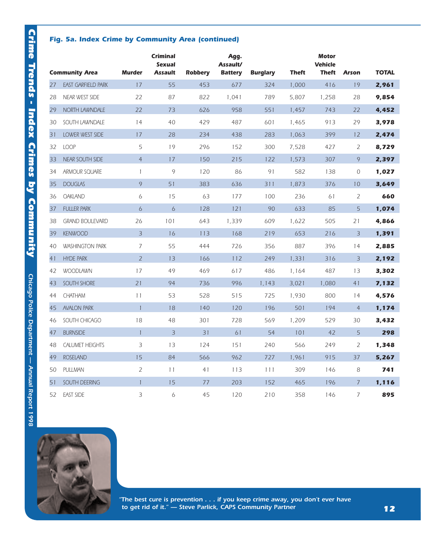### *Fig. 5a. Index Crime by Community Area (continued)*

|    |                           |                | <b>Criminal</b><br><b>Sexual</b> |                | Agg.<br>Assault/ |                 |              | <b>Motor</b><br><b>Vehicle</b> |                |              |
|----|---------------------------|----------------|----------------------------------|----------------|------------------|-----------------|--------------|--------------------------------|----------------|--------------|
|    | <b>Community Area</b>     | <b>Murder</b>  | <b>Assault</b>                   | <b>Robbery</b> | <b>Battery</b>   | <b>Burglary</b> | <b>Theft</b> | <b>Theft</b>                   | <b>Arson</b>   | <b>TOTAL</b> |
| 27 | <b>EAST GARFIELD PARK</b> | 17             | 55                               | 453            | 677              | 324             | 1,000        | 416                            | 19             | 2,961        |
| 28 | NEAR WEST SIDE            | 22             | 87                               | 822            | 1,041            | 789             | 5,807        | 1,258                          | 28             | 9,854        |
| 29 | NORTH LAWNDALE            | 22             | 73                               | 626            | 958              | 551             | 1,457        | 743                            | 22             | 4,452        |
| 30 | SOUTH LAWNDALE            | 14             | 40                               | 429            | 487              | 601             | 1,465        | 913                            | 29             | 3,978        |
| 31 | LOWER WEST SIDE           | 17             | 28                               | 234            | 438              | 283             | 1,063        | 399                            | 12             | 2,474        |
| 32 | <b>LOOP</b>               | 5              | 19                               | 296            | 152              | 300             | 7,528        | 427                            | $\overline{2}$ | 8,729        |
| 33 | <b>NEAR SOUTH SIDE</b>    | $\overline{4}$ | 17                               | 150            | 215              | 122             | 1,573        | 307                            | 9              | 2,397        |
| 34 | ARMOUR SQUARE             | $\mathbf{1}$   | 9                                | 120            | 86               | 91              | 582          | 138                            | 0              | 1,027        |
| 35 | <b>DOUGLAS</b>            | $\circ$        | 51                               | 383            | 636              | 311             | 1,873        | 376                            | 10             | 3,649        |
| 36 | <b>OAKLAND</b>            | 6              | 15                               | 63             | 177              | 100             | 236          | 61                             | 2              | 660          |
| 37 | <b>FULLER PARK</b>        | $\ddot{o}$     | $\ddot{o}$                       | 128            | 121              | 90              | 633          | 85                             | 5              | 1,074        |
| 38 | <b>GRAND BOULEVARD</b>    | 26             | 101                              | 643            | 1,339            | 609             | 1,622        | 505                            | 21             | 4,866        |
| 39 | <b>KENWOOD</b>            | $\overline{3}$ | 16                               | 113            | 168              | 219             | 653          | 216                            | $\overline{3}$ | 1,391        |
| 40 | <b>WASHINGTON PARK</b>    | $\overline{7}$ | 55                               | 444            | 726              | 356             | 887          | 396                            | 14             | 2,885        |
| 41 | <b>HYDE PARK</b>          | $\overline{2}$ | 13                               | 166            | 112              | 249             | 1,331        | 316                            | $\overline{3}$ | 2,192        |
| 42 | <b>WOODLAWN</b>           | 17             | 49                               | 469            | 617              | 486             | 1,164        | 487                            | 13             | 3,302        |
| 43 | SOUTH SHORE               | 21             | 94                               | 736            | 996              | 1,143           | 3,021        | 1,080                          | 41             | 7,132        |
| 44 | <b>CHATHAM</b>            | 11             | 53                               | 528            | 515              | 725             | 1,930        | 800                            | 14             | 4,576        |
| 45 | <b>AVALON PARK</b>        | $\mathbf{1}$   | 18                               | 140            | 120              | 196             | 501          | 194                            | $\overline{4}$ | 1,174        |
| 46 | SOUTH CHICAGO             | 18             | 48                               | 301            | 728              | 569             | 1,209        | 529                            | 30             | 3,432        |
| 47 | <b>BURNSIDE</b>           | $\mathbf{1}$   | $\overline{3}$                   | 31             | 61               | 54              | 101          | 42                             | 5              | 298          |
| 48 | <b>CALUMET HEIGHTS</b>    | 3              | 13                               | 124            | 151              | 240             | 566          | 249                            | $\overline{2}$ | 1,348        |
| 49 | <b>ROSELAND</b>           | 15             | 84                               | 566            | 962              | 727             | 1,961        | 915                            | 37             | 5,267        |
| 50 | <b>PULLMAN</b>            | $\overline{2}$ | 11                               | 41             | 113              | 111             | 309          | 146                            | 8              | 741          |
| 51 | SOUTH DEERING             | $\mathbf{1}$   | 15                               | 77             | 203              | 152             | 465          | 196                            | $\overline{7}$ | 1,116        |
| 52 | <b>EAST SIDE</b>          | 3              | 6                                | 45             | 120              | 210             | 358          | 146                            | 7              | 895          |



*"The best cure is prevention . . . if you keep crime away, you don't ever have to get rid of it." — Steve Parlick, CAPS Community Partner*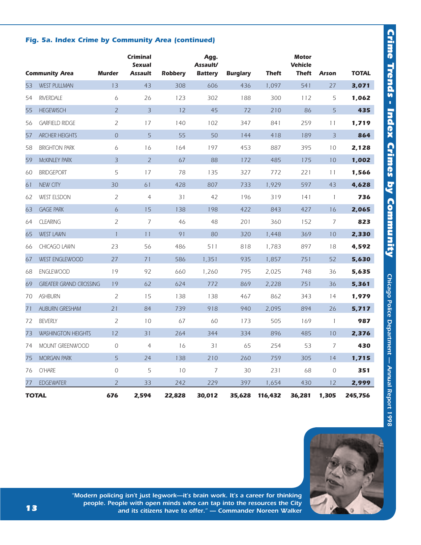### *Fig. 5a. Index Crime by Community Area (continued)*

|    | <b>Community Area</b>         | <b>Murder</b>    | <b>Criminal</b><br><b>Sexual</b><br><b>Assault</b> | <b>Robbery</b> | Agg.<br><b>Assault/</b><br><b>Battery</b> | <b>Burglary</b> | <b>Theft</b> | <b>Motor</b><br><b>Vehicle</b><br><b>Theft</b> | <b>Arson</b>             | <b>TOTAL</b> |
|----|-------------------------------|------------------|----------------------------------------------------|----------------|-------------------------------------------|-----------------|--------------|------------------------------------------------|--------------------------|--------------|
| 53 | <b>WEST PULLMAN</b>           | 13               | 43                                                 | 308            | 606                                       | 436             | 1,097        | 541                                            | 27                       | 3,071        |
| 54 | <b>RIVERDALE</b>              | 6                | 26                                                 | 123            | 302                                       | 188             | 300          | 112                                            | 5                        | 1,062        |
| 55 | <b>HEGEWISCH</b>              | $\overline{2}$   | $\overline{3}$                                     | 12             | 45                                        | 72              | 210          | 86                                             | 5                        | 435          |
|    |                               |                  |                                                    | 140            |                                           | 347             | 841          | 259                                            | 11                       |              |
| 56 | <b>GARFIELD RIDGE</b>         | 2                | 17                                                 |                | 102                                       |                 |              |                                                |                          | 1,719        |
| 57 | <b>ARCHER HEIGHTS</b>         | $\boldsymbol{0}$ | 5                                                  | 55             | 50                                        | 144             | 418          | 189                                            | $\overline{3}$           | 864          |
| 58 | <b>BRIGHTON PARK</b>          | 6                | 16                                                 | 164            | 197                                       | 453             | 887          | 395                                            | 10                       | 2,128        |
| 59 | <b>MCKINLEY PARK</b>          | 3                | $\overline{2}$                                     | 67             | 88                                        | 172             | 485          | 175                                            | 10                       | 1,002        |
| 60 | <b>BRIDGEPORT</b>             | 5                | 17                                                 | 78             | 135                                       | 327             | 772          | 221                                            | 11                       | 1,566        |
| 61 | <b>NEW CITY</b>               | 30               | 61                                                 | 428            | 807                                       | 733             | 1.929        | 597                                            | 43                       | 4,628        |
| 62 | <b>WEST ELSDON</b>            | 2                | $\overline{4}$                                     | 31             | 42                                        | 196             | 319          | 141                                            | $\overline{\phantom{a}}$ | 736          |
| 63 | <b>GAGE PARK</b>              | $\ddot{\circ}$   | 15                                                 | 138            | 198                                       | 422             | 843          | 427                                            | 16                       | 2,065        |
| 64 | <b>CLEARING</b>               | $\overline{2}$   | $\overline{7}$                                     | 46             | 48                                        | 201             | 360          | 152                                            | 7                        | 823          |
| 65 | <b>WEST LAWN</b>              | $\mathbf{1}$     | 11                                                 | 91             | 80                                        | 320             | 1.448        | 369                                            | 10                       | 2,330        |
| 66 | CHICAGO LAWN                  | 23               | 56                                                 | 486            | 511                                       | 818             | 1,783        | 897                                            | 18                       | 4,592        |
| 67 | <b>WEST ENGLEWOOD</b>         | 27               | 71                                                 | 586            | 1,351                                     | 935             | 1.857        | 751                                            | 52                       | 5,630        |
| 68 | <b>ENGLEWOOD</b>              | 19               | 92                                                 | 660            | 1,260                                     | 795             | 2,025        | 748                                            | 36                       | 5,635        |
| 69 | <b>GREATER GRAND CROSSING</b> | 19               | 62                                                 | 624            | 772                                       | 869             | 2,228        | 751                                            | 36                       | 5,361        |
| 70 | <b>ASHBURN</b>                | $\overline{2}$   | 15                                                 | 138            | 138                                       | 467             | 862          | 343                                            | 14                       | 1,979        |
| 71 | <b>AUBURN GRESHAM</b>         | 21               | 84                                                 | 739            | 918                                       | 940             | 2,095        | 894                                            | 26                       | 5,717        |
| 72 | <b>BEVERLY</b>                | $\overline{2}$   | 10                                                 | 67             | 60                                        | 173             | 505          | 169                                            | $\overline{1}$           | 987          |
| 73 | <b>WASHINGTON HEIGHTS</b>     | 12               | 31                                                 | 264            | 344                                       | 334             | 896          | 485                                            | 10                       | 2,376        |
| 74 | MOUNT GREENWOOD               | $\mathcal{O}$    | 4                                                  | 16             | 31                                        | 65              | 254          | 53                                             | $\overline{7}$           | 430          |
| 75 | <b>MORGAN PARK</b>            | 5                | 24                                                 | 138            | 210                                       | 260             | 759          | 305                                            | 14                       | 1,715        |
| 76 | O'HARE                        | $\mathcal{O}$    | 5                                                  | 10             | $\overline{7}$                            | 30              | 231          | 68                                             | $\mathcal{O}$            | 351          |
| 77 | <b>EDGEWATER</b>              | $\overline{2}$   | 33                                                 | 242            | 229                                       | 397             | 1,654        | 430                                            | 12                       | 2.999        |
|    | <b>TOTAL</b>                  | 676              | 2,594                                              | 22,828         | 30,012                                    | 35,628          | 116,432      | 36,281                                         | 1,305                    | 245,756      |





*"Modern policing isn't just legwork—it's brain work. It's a career for thinking people. People with open minds who can tap into the resources the City and its citizens have to offer." — Commander Noreen Walker*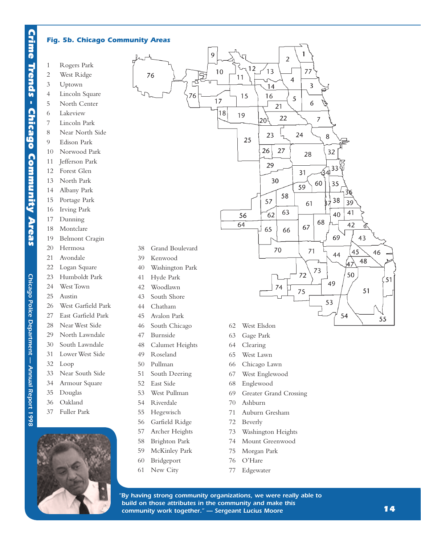### *Fig. 5b. Chicago Community Areas*

- 1 Rogers Park
- 2 West Ridge
- 3 Uptown
- 4 Lincoln Square
- 5 North Center
- 6 Lakeview
- 7 Lincoln Park
- 8 Near North Side
- 9 Edison Park
- 10 Norwood Park
- 11 Jefferson Park
- 12 Forest Glen
- 13 North Park
- 14 Albany Park
- 15 Portage Park
- 16 Irving Park
- 17 Dunning
- 18 Montclare
- 19 Belmont Cragin
- 20 Hermosa
- 21 Avondale
- 
- 22 Logan Square
- 23 Humboldt Park
- 24 West Town
- 25 Austin
- 26 West Garfield Park
- 27 East Garfield Park
- 28 Near West Side
- 29 North Lawndale
- 30 South Lawndale
- 31 Lower West Side
- 32 Loop

*Chicago Police Department — Annual Report 1998* 

Chicago Police Department - Annual Report 1998

- 33 Near South Side
- 34 Armour Square
- 35 Douglas
- 36 Oakland
- 37 Fuller Park





- 43 South Shore
- 44 Chatham
- 45 Avalon Park
- 46 South Chicago
- 47 Burnside
- 48 Calumet Heights
- 49 Roseland
- 50 Pullman
- 51 South Deering
- 52 East Side
- 53 West Pullman
- 54 Riverdale
- 55 Hegewisch
- 56 Garfield Ridge
- 57 Archer Heights
- 58 Brighton Park
- 59 McKinley Park
- 60 Bridgeport
- 61 New City
- 62 West Elsdon
- 63 Gage Park
- 64 Clearing
- 65 West Lawn
- 66 Chicago Lawn
- 67 West Englewood
- 68 Englewood
- 69 Greater Grand Crossing

53

54

55

- 70 Ashburn
- 71 Auburn Gresham
- 72 Beverly
- 73 Washington Heights
- 74 Mount Greenwood
- 75 Morgan Park
- 76 O'Hare
- 77 Edgewater

*"By having strong community organizations, we were really able to build on those attributes in the community and make this community work together." — Sergeant Lucius Moore*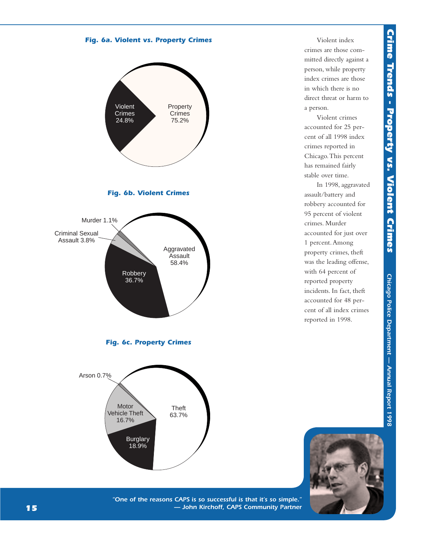



Violent index crimes are those committed directly against a person, while property index crimes are those in which there is no direct threat or harm to a person.

Violent crimes accounted for 25 percent of all 1998 index crimes reported in Chicago.This percent has remained fairly stable over time.

In 1998, aggravated assault/battery and robbery accounted for 95 percent of violent crimes. Murder accounted for just over 1 percent.Among property crimes, theft was the leading offense, with 64 percent of reported property incidents. In fact, theft accounted for 48 percent of all index crimes reported in 1998.



*"One of the reasons CAPS is so successful is that it's so simple." — John Kirchoff, CAPS Community Partner*

Theft 63.7%

**Burglary** 18.9%

**Motor** Vehicle Theft 16.7%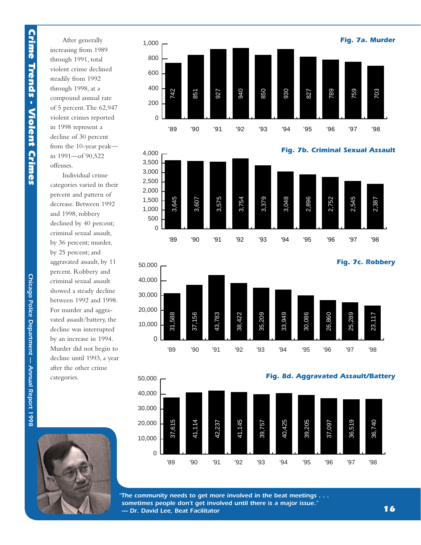After generally increasing from 1989 through 1991, total violent crime declined steadily from 1992 through 1998, at a compound annual rate of 5 percent.The 62,947 violent crimes reported in 1998 represent a decline of 30 percent from the 10-year peak in 1991—of 90,522 offenses.

Individual crime categories varied in their percent and pattern of decrease. Between 1992 and 1998, robbery declined by 40 percent; criminal sexual assault, by 36 percent; murder, by 25 percent; and aggravated assault, by 11 percent. Robbery and criminal sexual assault showed a steady decline between 1992 and 1998. For murder and aggravated assault/battery, the decline was interrupted by an increase in 1994. Murder did not begin to decline until 1993, a year after the other crime categories.









*"The community needs to get more involved in the beat meetings . . . sometimes people don't get involved until there is a major issue." — Dr. David Lee, Beat Facilitator*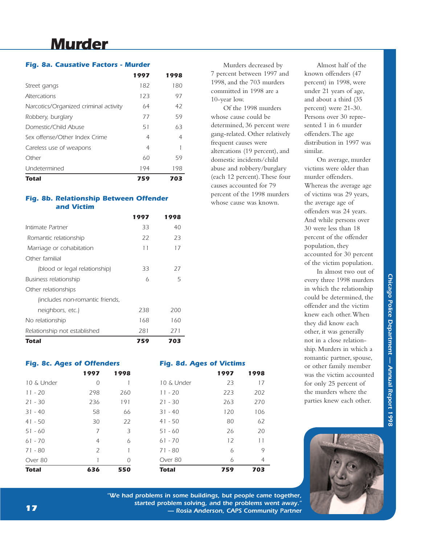## *Murder*

### *Fig. 8a. Causative Factors - Murder*

|                                       | 1997 | 1998 |
|---------------------------------------|------|------|
| Street gangs                          | 182  | 180  |
| <b>Altercations</b>                   | 123  | 97   |
| Narcotics/Organized criminal activity | 64   | 42   |
| Robbery, burglary                     | 77   | 59   |
| Domestic/Child Abuse                  | 51   | 63   |
| Sex offense/Other Index Crime         | 4    | 4    |
| Careless use of weapons               | 4    |      |
| Other                                 | 60   | 59   |
| Undetermined                          | 194  | 198  |
| Total                                 | 759  | 703  |

### *Fig. 8b. Relationship Between Offender and Victim*

|                                 | 1997 | 1998 |
|---------------------------------|------|------|
| Intimate Partner                | 33   | 40   |
| Romantic relationship           | 22   | 23   |
| Marriage or cohabitation        | 11   | 17   |
| Other familial                  |      |      |
| (blood or legal relationship)   | 33   | 27   |
| Business relationship           | 6    | 5    |
| Other relationships             |      |      |
| lincludes non-romantic friends, |      |      |
| neighbors, etc.)                | 238  | 200  |
| No relationship                 | 168  | 160  |
| Relationship not established    | 281  | 271  |
| Total                           | 759  | 703  |

*Fig. 8c. Ages of Offenders*

|              | 1997           | 1998 |              | 1997 | 1998 |
|--------------|----------------|------|--------------|------|------|
| 10 & Under   | 0              |      | 10 & Under   | 23   | 17   |
| $11 - 20$    | 298            | 260  | $11 - 20$    | 223  | 202  |
| $21 - 30$    | 236            | 191  | $21 - 30$    | 263  | 270  |
| $31 - 40$    | 58             | 66   | $31 - 40$    | 120  | 106  |
| $41 - 50$    | 30             | 22   | $41 - 50$    | 80   | 62   |
| $51 - 60$    | 7              | 3    | $51 - 60$    | 26   | 20   |
| $61 - 70$    | 4              | 6    | $61 - 70$    | 12   | 11   |
| $71 - 80$    | $\overline{2}$ |      | 71 - 80      | 6    | 9    |
| Over 80      |                | 0    | Over 80      | 6    | 4    |
| <b>Total</b> | 636            | 550  | <b>Total</b> | 759  | 703  |

*"We had problems in some buildings, but people came together, started problem solving, and the problems went away." — Rosia Anderson, CAPS Community Partner*

*Fig. 8d. Ages of Victims*

Murders decreased by 7 percent between 1997 and 1998, and the 703 murders committed in 1998 are a 10-year low.

Of the 1998 murders whose cause could be determined, 36 percent were gang-related. Other relatively frequent causes were altercations (19 percent), and domestic incidents/child abuse and robbery/burglary (each 12 percent).These four causes accounted for 79 percent of the 1998 murders whose cause was known.

Almost half of the known offenders (47 percent) in 1998, were under 21 years of age, and about a third (35 percent) were 21-30. Persons over 30 represented 1 in 6 murder offenders.The age distribution in 1997 was similar.

On average, murder victims were older than murder offenders. Whereas the average age of victims was 29 years, the average age of offenders was 24 years. And while persons over 30 were less than 18 percent of the offender population, they accounted for 30 percent of the victim population.

In almost two out of every three 1998 murders in which the relationship could be determined, the offender and the victim knew each other.When they did know each other, it was generally not in a close relationship. Murders in which a romantic partner, spouse, or other family member was the victim accounted for only 25 percent of the murders where the parties knew each other.

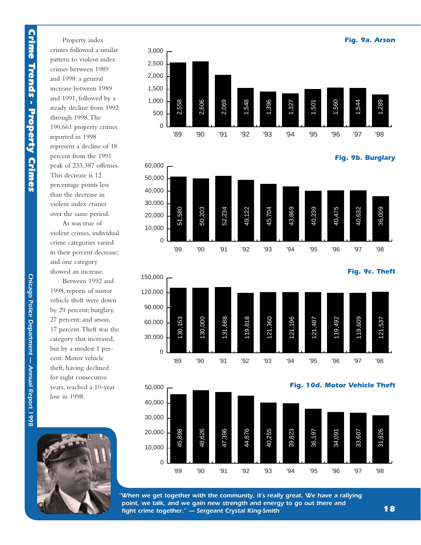Property index crimes followed a similar pattern to violent index crimes between 1989 and 1998: a general increase between 1989 and 1991, followed by a steady decline from 1992 through 1998.The 190,661 property crimes reported in 1998 represent a decline of 18 percent from the 1991 peak of 233,387 offenses. This decrease is 12 percentage points less than the decrease in violent index crimes over the same period.

As was true of violent crimes, individual crime categories varied in their percent decrease; and one category showed an increase.

Between 1992 and 1998, reports of motor vehicle theft were down by 29 percent; burglary, 27 percent; and arson, 17 percent.Theft was the category that increased, but by a modest 1 percent. Motor vehicle theft, having declined for eight consecutive years, reached a 10-year low in 1998.

 $\overline{0}$ 





*"When we get together with the community, it's really great. We have a rallying point, we talk, and we gain new strength and energy to go out there and fight crime together." — Sergeant Crystal King-Smith*

*18*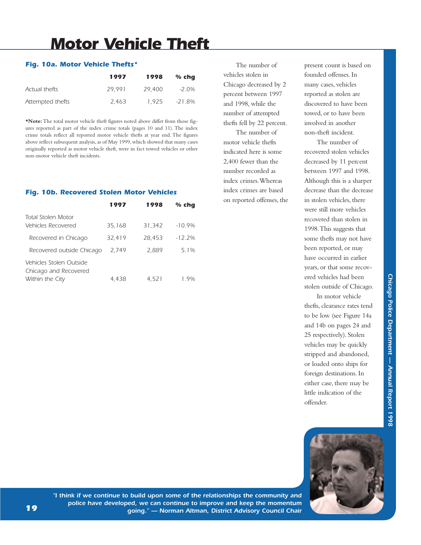## *Motor Vehicle Theft*

### *Fig. 10a. Motor Vehicle Thefts\**

|                  | 1997   | 1998   | $%$ cha |
|------------------|--------|--------|---------|
| Actual thefts    | 29.991 | 29,400 | -2.0%   |
| Attempted thefts | 2.463  | 1.925  | -21.8%  |

**\*Note:**The total motor vehicle theft figures noted above differ from those figures reported as part of the index crime totals (pages 10 and 11). The index crime totals reflect all reported motor vehicle thefts at year end. The figures above reflect subsequent analysis, as of May 1999, which showed that many cases originally reported as motor vehicle theft, were in fact towed vehicles or other non-motor vehicle theft incidents.

### *Fig. 10b. Recovered Stolen Motor Vehicles*

|                                                                     | 1997            | 1998            | $%$ chq              |
|---------------------------------------------------------------------|-----------------|-----------------|----------------------|
| <b>Total Stolen Motor</b><br>Vehicles Recovered                     | 35,168          | 31,342          | $-10.9%$             |
| Recovered in Chicago<br>Recovered outside Chicago                   | 32,419<br>2.749 | 28,453<br>2.889 | $-12.2\%$<br>$5.1\%$ |
| Vehicles Stolen Outside<br>Chicago and Recovered<br>Within the City | 4.438           | 4.521           | 19%                  |
|                                                                     |                 |                 |                      |

The number of vehicles stolen in Chicago decreased by 2 percent between 1997 and 1998, while the number of attempted thefts fell by 22 percent.

The number of motor vehicle thefts indicated here is some 2,400 fewer than the number recorded as index crimes.Whereas index crimes are based on reported offenses, the present count is based on founded offenses. In many cases, vehicles reported as stolen are discovered to have been towed, or to have been involved in another non-theft incident.

The number of recovered stolen vehicles decreased by 11 percent between 1997 and 1998. Although this is a sharper decrease than the decrease in stolen vehicles, there were still more vehicles recovered than stolen in 1998.This suggests that some thefts may not have been reported, or may have occurred in earlier years, or that some recovered vehicles had been stolen outside of Chicago.

In motor vehicle thefts, clearance rates tend to be low (see Figure 14a and 14b on pages 24 and 25 respectively). Stolen vehicles may be quickly stripped and abandoned, or loaded onto ships for foreign destinations. In either case, there may be little indication of the offender.





*"I think if we continue to build upon some of the relationships the community and police have developed, we can continue to improve and keep the momentum going." — Norman Altman, District Advisory Council Chair*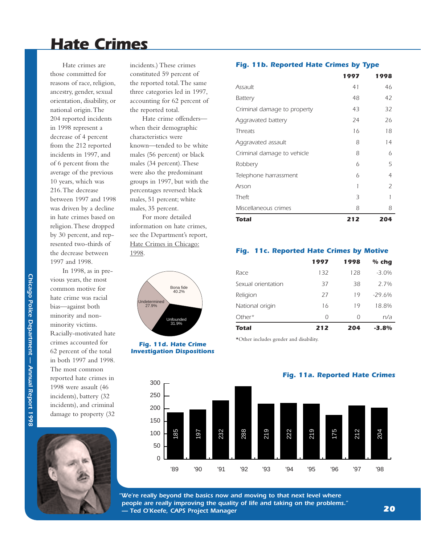### *Hate Crimes*

Hate crimes are those committed for reasons of race, religion, ancestry, gender, sexual orientation, disability, or national origin.The 204 reported incidents in 1998 represent a decrease of 4 percent from the 212 reported incidents in 1997, and of 6 percent from the average of the previous 10 years, which was 216.The decrease between 1997 and 1998 was driven by a decline in hate crimes based on religion.These dropped by 30 percent, and represented two-thirds of the decrease between 1997 and 1998.

In 1998, as in previous years, the most common motive for hate crime was racial bias—against both minority and nonminority victims. Racially-motivated hate crimes accounted for 62 percent of the total in both 1997 and 1998. The most common reported hate crimes in 1998 were assault (46 incidents), battery (32 incidents), and criminal damage to property (32



incidents.) These crimes constituted 59 percent of the reported total.The same three categories led in 1997, accounting for 62 percent of the reported total.

Hate crime offenders when their demographic characteristics were known—tended to be white males (56 percent) or black males (34 percent).These were also the predominant groups in 1997, but with the percentages reversed: black males, 51 percent; white males, 35 percent.

For more detailed information on hate crimes, see the Department's report, Hate Crimes in Chicago: 1998.



#### *Fig. 11d. Hate Crime Investigation Dispositions*

### *Fig. 11b. Reported Hate Crimes by Type*

|                             | 1997 | 1998           |
|-----------------------------|------|----------------|
| Assault                     | 41   | 46             |
| <b>Battery</b>              | 48   | 42             |
| Criminal damage to property | 43   | 32             |
| Aggravated battery          | 24   | 26             |
| <b>Threats</b>              | 16   | 18             |
| Aggravated assault          | 8    | 14             |
| Criminal damage to vehicle  | 8    | 6              |
| Robbery                     | 6    | 5              |
| Telephone harrassment       | 6    | 4              |
| Arson                       | 1    | $\overline{z}$ |
| Theft                       | 3    |                |
| Miscellaneous crimes        | 8    | 8              |
| Total                       | 212  | 204            |

### *Fig. 11c. Reported Hate Crimes by Motive*

|                    | 1997 | 1998     | $%$ chq  |
|--------------------|------|----------|----------|
| Race               | 132  | 128      | $-3.0\%$ |
| Sexual orientation | 37   | 38       | 2 7%     |
| Religion           | 27   | 19       | $-29.6%$ |
| National origin    | 16   | 19       | 18.8%    |
| $Other*$           | 0    | $\Omega$ | n/a      |
| Total              | 212  | 204      | $-3.8%$  |

*Fig. 11a. Reported Hate Crimes*

\*Other includes gender and disability.

 $\Omega$ 50 100 150 200 250 300 185 5 73 88 9 90 '91 '92 '93 '94 '95 '96 '97 '98

*"We're really beyond the basics now and moving to that next level where people are really improving the quality of life and taking on the problems." — Ted O'Keefe, CAPS Project Manager* 

# Chicago Police Department - Annual Report 1998 *Chicago Police Department — Annual Report 1998*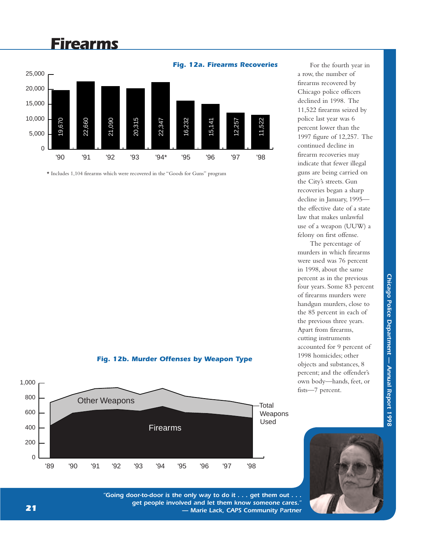## *Firearms*



\* Includes 1,104 firearms which were recovered in the "Goods for Guns" program

### *Fig. 12b. Murder Offenses by Weapon Type*



For the fourth year in a row, the number of firearms recovered by Chicago police officers declined in 1998. The 11,522 firearms seized by police last year was 6 percent lower than the 1997 figure of 12,257. The continued decline in firearm recoveries may indicate that fewer illegal guns are being carried on the City's streets. Gun recoveries began a sharp decline in January, 1995 the effective date of a state law that makes unlawful use of a weapon (UUW) a felony on first offense.

The percentage of murders in which firearms were used was 76 percent in 1998, about the same percent as in the previous four years. Some 83 percent of firearms murders were handgun murders, close to the 85 percent in each of the previous three years. Apart from firearms, cutting instruments accounted for 9 percent of 1998 homicides; other objects and substances, 8 percent; and the offender's own body—hands, feet, or fists—7 percent.



*"Going door-to-door is the only way to do it . . . get them out . . . get people involved and let them know someone cares." — Marie Lack, CAPS Community Partner*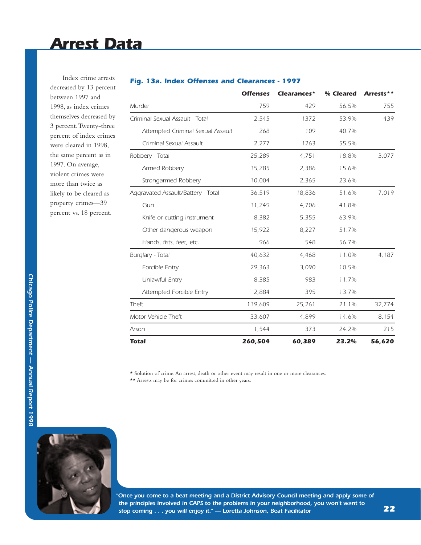Index crime arrests decreased by 13 percent between 1997 and 1998, as index crimes themselves decreased by 3 percent.Twenty-three percent of index crimes were cleared in 1998, the same percent as in 1997. On average, violent crimes were more than twice as likely to be cleared as property crimes—39 percent vs. 18 percent.

|                                    | <b>Offenses</b> | Clearances* | % Cleared | Arrests** |
|------------------------------------|-----------------|-------------|-----------|-----------|
| Murder                             | 759             | 429         | 56.5%     | 755       |
| Criminal Sexual Assault - Total    | 2,545           | 1372        | 53.9%     | 439       |
| Attempted Criminal Sexual Assault  | 268             | 109         | 40.7%     |           |
| Criminal Sexual Assault            | 2,277           | 1263        | 55.5%     |           |
| Robbery - Total                    | 25,289          | 4,751       | 18.8%     | 3,077     |
| Armed Robbery                      | 15,285          | 2,386       | 15.6%     |           |
| Strongarmed Robbery                | 10,004          | 2,365       | 23.6%     |           |
| Aggravated Assault/Battery - Total | 36,519          | 18,836      | 51.6%     | 7,019     |
| Gun                                | 11,249          | 4,706       | 41.8%     |           |
| Knife or cutting instrument        | 8,382           | 5,355       | 63.9%     |           |
| Other dangerous weapon             | 15,922          | 8,227       | 51.7%     |           |
| Hands, fists, feet, etc.           | 966             | 548         | 56.7%     |           |
| Burglary - Total                   | 40,632          | 4,468       | 11.0%     | 4,187     |
| Forcible Entry                     | 29,363          | 3,090       | 10.5%     |           |
| Unlawful Entry                     | 8,385           | 983         | 11.7%     |           |
| Attempted Forcible Entry           | 2,884           | 395         | 13.7%     |           |
| Theft                              | 119,609         | 25,261      | 21.1%     | 32,774    |
| Motor Vehicle Theft                | 33,607          | 4,899       | 14.6%     | 8,154     |
| Arson                              | 1,544           | 373         | 24.2%     | 215       |
| Total                              | 260,504         | 60,389      | 23.2%     | 56,620    |

### *Fig. 13a. Index Offenses and Clearances - 1997*

 $\star$  Solution of crime. An arrest, death or other event may result in one or more clearances. \*\* Arrests may be for crimes committed in other years.



*"Once you come to a beat meeting and a District Advisory Council meeting and apply some of the principles involved in CAPS to the problems in your neighborhood, you won't want to stop coming . . . you will enjoy it." — Loretta Johnson, Beat Facilitator*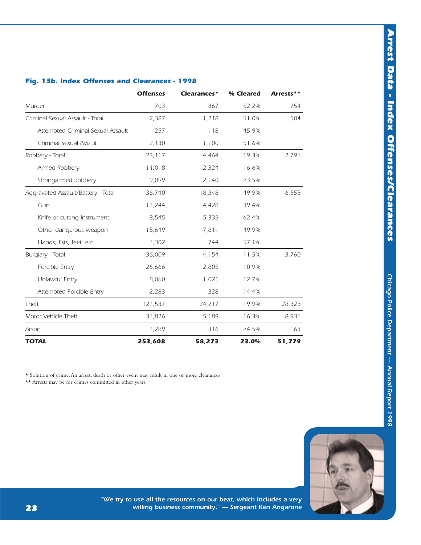# Chicago Police Department - Annual Report 1998 *Chicago Police Department — Annual Report 1998*



### *Fig. 13b. Index Offenses and Clearances - 1998*

|                                    | <b>Offenses</b> | Clearances* | % Cleared                                                                                                                                                                                                                                                                                         | Arrests** |
|------------------------------------|-----------------|-------------|---------------------------------------------------------------------------------------------------------------------------------------------------------------------------------------------------------------------------------------------------------------------------------------------------|-----------|
| Murder                             | 703             | 367         | 52.2%<br>1,218<br>51.0%<br>118<br>45.9%<br>1,100<br>51.6%<br>4,464<br>19.3%<br>2,324<br>16.6%<br>2,140<br>23.5%<br>18,348<br>49.9%<br>4,428<br>39.4%<br>5,335<br>62.4%<br>7,811<br>49.9%<br>57.1%<br>744<br>4,154<br>11.5%<br>2,805<br>10.9%<br>1,021<br>12.7%<br>14.4%<br>328<br>24,217<br>19.9% | 754       |
| Criminal Sexual Assault - Total    | 2,387           |             |                                                                                                                                                                                                                                                                                                   | 504       |
| Attempted Criminal Sexual Assault  | 257             |             |                                                                                                                                                                                                                                                                                                   |           |
| Criminal Sexual Assault            | 2,130           |             |                                                                                                                                                                                                                                                                                                   |           |
| Robbery - Total                    | 23,117          |             |                                                                                                                                                                                                                                                                                                   | 2,791     |
| Armed Robbery                      | 14,018          |             |                                                                                                                                                                                                                                                                                                   |           |
| Strongarmed Robbery                | 9,099           |             |                                                                                                                                                                                                                                                                                                   |           |
| Aggravated Assault/Battery - Total | 36,740          |             |                                                                                                                                                                                                                                                                                                   | 6,553     |
| Gun                                | 11,244          |             |                                                                                                                                                                                                                                                                                                   |           |
| Knife or cutting instrument        | 8,545           |             |                                                                                                                                                                                                                                                                                                   |           |
| Other dangerous weapon             | 15,649          |             |                                                                                                                                                                                                                                                                                                   |           |
| Hands, fists, feet, etc.           | 1,302           |             |                                                                                                                                                                                                                                                                                                   |           |
| Burglary - Total                   | 36,009          |             |                                                                                                                                                                                                                                                                                                   | 3,760     |
| Forcible Entry                     | 25,666          |             |                                                                                                                                                                                                                                                                                                   |           |
| Unlawful Entry                     | 8,060           |             |                                                                                                                                                                                                                                                                                                   |           |
| Attempted Forcible Entry           | 2,283           |             |                                                                                                                                                                                                                                                                                                   |           |
| Theft                              | 121,537         |             |                                                                                                                                                                                                                                                                                                   | 28,323    |
| Motor Vehicle Theft                | 31,826          | 5,189       | 16.3%                                                                                                                                                                                                                                                                                             | 8,931     |
| Arson                              | 1,289           | 316         | 24.5%                                                                                                                                                                                                                                                                                             | 163       |
| <b>TOTAL</b>                       | 253,608         | 58,273      | 23.0%                                                                                                                                                                                                                                                                                             | 51,779    |

\* Solution of crime.An arrest, death or other event may result in one or more clearances.

\*\* Arrests may be for crimes committed in other years.

*23*

*"We try to use all the resources on our beat, which includes a very willing business community." — Sergeant Ken Angarone*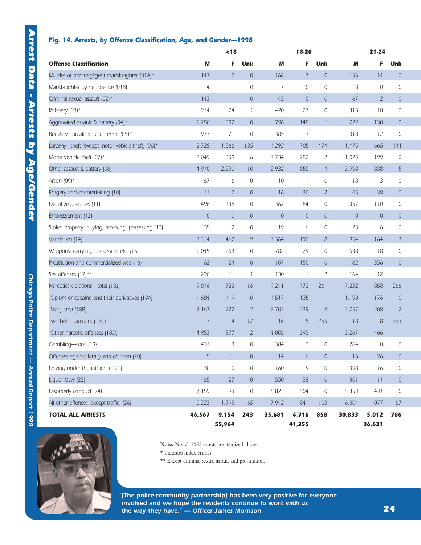### *Fig. 14. Arrests, by Offense Classification, Age, and Gender—1998*

|                                                     |                | < 18            |                  |                | 18-20           |                | $21 - 24$   |                  |                          |  |
|-----------------------------------------------------|----------------|-----------------|------------------|----------------|-----------------|----------------|-------------|------------------|--------------------------|--|
| <b>Offense Classification</b>                       | M              | F               | Unk              | M              | F               | Unk            | M           | F                | Unk                      |  |
| Murder or non-negligent manslaughter (01A)*         | 147            | $\overline{7}$  | $\theta$         | 166            | $7\overline{ }$ | $\overline{0}$ | 156         | 14               | $\theta$                 |  |
| Manslaughter by negligence (01B)                    | $\overline{4}$ | 1               | $\mathbf{0}$     | $\overline{7}$ | $\overline{0}$  | $\mathbf{0}$   | 8           | $\mathbf{0}$     | $\mathbf{0}$             |  |
| Criminal sexual assault (02)*                       | 143            | $\mathbf{1}$    | $\sqrt{0}$       | 45             | $\overline{0}$  | $\overline{0}$ | 67          | $\overline{2}$   | $\theta$                 |  |
| Robbery (03)*                                       | 914            | 74              | $\mathbf{1}$     | 420            | 27              | $\mathbf 0$    | 315         | 18               | 0                        |  |
| Aggravated assault & battery (04)*                  | 1,250          | 392             | $\theta$         | 796            | 148             |                | 722         | 130              | $\theta$                 |  |
| Burglary - breaking or entering (05)*               | 973            | 71              | $\mathbf{0}$     | 385            | 13              | $\mathbf{1}$   | 318         | 12               | $\mathbf{0}$             |  |
| Larceny - theft (except motor vehicle theft) (06)*  | 2,728          | 1,566           | 135              | 1,292          | 705             | 474            | 1,475       | 665              | 444                      |  |
| Motor vehicle theft (07)*                           | 2,049          | 359             | 6                | 1,734          | 282             | $\overline{2}$ | 1,025       | 199              | $\mathbf{0}$             |  |
| Other assault & battery (08)                        | 4,910          | 2,230           | 10               | 2,932          | 850             | $\overline{4}$ | 3,998       | 838              | 5                        |  |
| Arson $(09)^*$                                      | 67             | 6               | $\theta$         | 10             | $\overline{1}$  | $\mathbf 0$    | 18          | 3                | $\mathbf 0$              |  |
| Forgery and counterfeiting (10)                     | 11             | $\overline{7}$  | $\overline{0}$   | 16             | 30              | $\overline{2}$ | 45          | 38               | $\theta$                 |  |
| Decptive practices (11)                             | 496            | 138             | $\mathbf{0}$     | 362            | 84              | $\mathbf 0$    | 357         | 110              | 0                        |  |
| Embezzlement (12)                                   | $\mathbb O$    | $\overline{0}$  | $\overline{0}$   | $\mathbb O$    | $\,0\,$         | $\overline{0}$ | $\mathbb O$ | $\boldsymbol{0}$ | $\boldsymbol{0}$         |  |
| Stolen property: buying, receiving, possessing (13) | 35             | $\overline{2}$  | $\sqrt{0}$       | 19             | 6               | $\mathbf 0$    | 23          | 6                | $\mathbf 0$              |  |
| Vandalism (14)                                      | 3,314          | 462             | 9                | 1,364          | 190             | 8              | 954         | 164              | 3                        |  |
| Weapons: carrying, possessing etc. (15)             | 1,045          | 254             | 0                | 782            | 29              | $\mathbf 0$    | 638         | 18               | 0                        |  |
| Prostitution and commercialized vice (16)           | 62             | 24              | $\theta$         | 107            | 150             | $\overline{0}$ | 182         | 356              | $\theta$                 |  |
| Sex offenses (17)**                                 | 290            | 11              | $\mathbf{1}$     | 130            | 11              | 2              | 164         | 12               | $\overline{\phantom{a}}$ |  |
| Narcotics violations-total (18s)                    | 9,816          | 722             | 16               | 9,241          | 772             | 261            | 7,232       | 858              | 266                      |  |
| Opium or cocaine and their derivatives (18A)        | 1,684          | 119             | $\theta$         | 1,517          | 135             | -1             | 1,190       | 176              | $\theta$                 |  |
| Marijuana (18B)                                     | 3,167          | 222             | $\overline{2}$   | 3,703          | 239             | 4              | 2,757       | 208              | $\overline{2}$           |  |
| Synthetic narcotics (18C)                           | 13             | $\overline{4}$  | 12               | 16             | 5               | 255            | $18\,$      | 8                | 263                      |  |
| Other narcotic offenses (18D)                       | 4,952          | 377             | $\overline{2}$   | 4,005          | 393             | П              | 3,267       | 466              | -1                       |  |
| Gambling-total (19s)                                | 431            | 3               | $\mathbf{0}$     | 384            | 3               | 0              | 264         | 8                | $\mathbf 0$              |  |
| Offenses against family and children (20)           | 5              | 11              | $\mathbb O$      | 14             | 16              | $\mathbb O$    | 16          | 26               | $\boldsymbol{0}$         |  |
| Driving under the influence (21)                    | 30             | $\mathbb O$     | $\mathbf 0$      | 160            | 9               | $\mathbf 0$    | 398         | 16               | $\mathbf 0$              |  |
| Liquor laws (22)                                    | 465            | 127             | $\sqrt{0}$       | 550            | 38              | $\theta$       | 301         | 11               | $\theta$                 |  |
| Disorderly conduct (24)                             | 7,159          | 893             | $\boldsymbol{0}$ | 6,823          | 504             | $\,0\,$        | 5,353       | 431              | 0                        |  |
| All other offenses (except traffic) (26)            | 10,223         | 1,793           | 65               | 7,942          | 841             | 103            | 6,804       | 1,077            | 67                       |  |
| <b>TOTAL ALL ARRESTS</b>                            | 46,567         | 9,154<br>55,964 | 243              | 35,681         | 4,716<br>41,255 | 858            | 30,833      | 5,012<br>36,631  | 786                      |  |



**Note:** Not all 1998 arrests are itemized above

\* Indicates index crimes.

\*\* Except criminal sexual assault and prostitution.

*"[The police-community partnership] has been very positive for everyone involved and we hope the residents continue to work with us the way they have." — Officer James Morrison*

Chicago Police Department - Annual Report 1998 *Chicago Police Department — Annual Report 1998*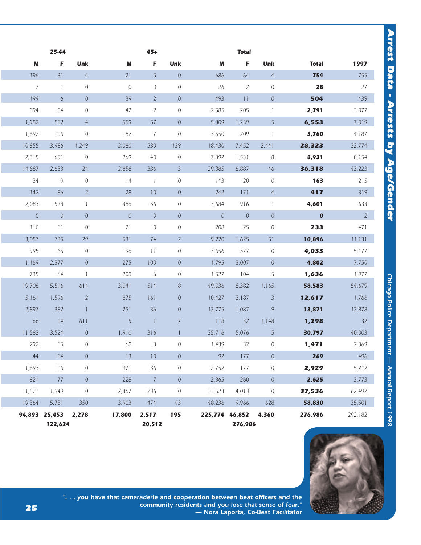|                 | 25-44                    |                |             | $45+$                    |                |                | <b>Total</b>   |                  |              |             |
|-----------------|--------------------------|----------------|-------------|--------------------------|----------------|----------------|----------------|------------------|--------------|-------------|
| M               | F                        | Unk            | M           | F                        | <b>Unk</b>     | M              | F              | <b>Unk</b>       | <b>Total</b> | 1997        |
| 196             | 31                       | $\overline{4}$ | 21          | 5                        | $\overline{0}$ | 686            | 64             | $\overline{4}$   | 754          | 755         |
| $7\overline{ }$ | $\overline{1}$           | $\mathcal O$   | $\mathbb O$ | $\mathbb O$              | $\mathbb O$    | 26             | $\overline{2}$ | $\mathbf 0$      | 28           | 27          |
| 199             | 6                        | $\sqrt{0}$     | 39          | $\overline{2}$           | $\overline{0}$ | 493            | 11             | $\overline{0}$   | 504          | 439         |
| 894             | 84                       | $\mathcal O$   | 42          | $\overline{2}$           | 0              | 2,585          | 205            | $\mathbf{1}$     | 2,791        | 3,077       |
| 1,982           | 512                      | $\overline{4}$ | 559         | 57                       | $\overline{0}$ | 5,309          | 1,239          | 5                | 6,553        | 7,019       |
| 1,692           | 106                      | $\mathbf 0$    | 182         | 7                        | $\mathbf 0$    | 3,550          | 209            | $\overline{1}$   | 3,760        | 4,187       |
| 10,855          | 3,986                    | 1,249          | 2,080       | 530                      | 139            | 18,430         | 7,452          | 2,441            | 28,323       | 32,774      |
| 2,315           | 651                      | $\circ$        | 269         | 40                       | $\mathcal O$   | 7,392          | 1,531          | 8                | 8,931        | 8,154       |
| 14,687          | 2,633                    | 24             | 2,858       | 336                      | $\overline{3}$ | 29,385         | 6,887          | 46               | 36,318       | 43,223      |
| 34              | 9                        | $\mathcal O$   | 14          | $\overline{1}$           | 0              | 143            | 20             | $\mathbf 0$      | 163          | 215         |
| 142             | 86                       | $2^{\circ}$    | 28          | 10                       | $\overline{0}$ | 242            | 171            | $\overline{4}$   | 417          | 319         |
| 2,083           | 528                      | $\mathbf{1}$   | 386         | 56                       | $\mathbf 0$    | 3,684          | 916            | $\mathbf{1}$     | 4,601        | 633         |
| $\sqrt{0}$      | $\boldsymbol{0}$         | $\overline{0}$ | $\mathbf 0$ | $\theta$                 | $\overline{0}$ | $\overline{0}$ | $\overline{0}$ | $\overline{0}$   | $\mathbf{0}$ | $2^{\circ}$ |
| 110             | 11                       | $\mathcal O$   | 21          | $\mathbf 0$              | 0              | 208            | 25             | $\mathbf 0$      | 233          | 471         |
| 3,057           | 735                      | 29             | 531         | 74                       | $\overline{2}$ | 9,220          | 1,625          | 51               | 10,896       | 11,131      |
| 995             | 65                       | $\mathbb O$    | 196         | 11                       | 0              | 3,656          | 377            | $\mathcal{O}$    | 4,033        | 5,477       |
| 1,169           | 2,377                    | $\overline{0}$ | 275         | 100                      | $\overline{0}$ | 1,795          | 3,007          | $\overline{0}$   | 4,802        | 7,750       |
| 735             | 64                       | $\overline{1}$ | 208         | 6                        | 0              | 1,527          | 104            | 5                | 1,636        | 1,977       |
| 19,706          | 5,516                    | 614            | 3,041       | 514                      | 8              | 49,036         | 8,382          | 1,165            | 58,583       | 54,679      |
| 5,161           | 1,596                    | $\overline{2}$ | 875         | 161                      | 0              | 10,427         | 2,187          | $\overline{3}$   | 12,617       | 1,766       |
| 2,897           | 382                      | $\overline{1}$ | 251         | 36                       | $\theta$       | 12,775         | 1,087          | 9                | 13,871       | 12,878      |
| 66              | 14                       | 611            | 5           | $\overline{\phantom{a}}$ | $\overline{7}$ | 118            | 32             | 1,148            | 1,298        | 32          |
| 11,582          | 3,524                    | $\overline{0}$ | 1,910       | 316                      | $\mathbf{1}$   | 25,716         | 5,076          | 5                | 30,797       | 40,003      |
| 292             | 15                       | $\mathbf 0$    | 68          | 3                        | 0              | 1,439          | 32             | 0                | 1,471        | 2,369       |
| 44              | $114$                    | $\sqrt{0}$     | 13          | $10\,$                   | $\mathbb O$    | 92             | 177            | $\boldsymbol{0}$ | 269          | 496         |
| 1,693           | 116                      | $\mathbb O$    | 471         | 36                       | $\mathbf 0$    | 2,752          | 177            | $\boldsymbol{0}$ | 2,929        | 5,242       |
| 821             | $77$                     | $\mathbb O$    | 228         | $\overline{7}$           | $\mathbf 0$    | 2,365          | 260            | $\mathbb O$      | 2,625        | 3,773       |
| 11,821          | 1,949                    | $\mathbb O$    | 2,367       | 236                      | 0              | 33,523         | 4,013          | $\boldsymbol{0}$ | 37,536       | 62,492      |
| 19,364          | 5,781                    | 350            | 3,903       | 474                      | 43             | 48,236         | 9,966          | 628              | 58,830       | 35,501      |
|                 | 94,893 25,453<br>122,624 | 2,278          | 17,800      | 2,517<br>20,512          | 195            | 225,774 46,852 | 276,986        | 4,360            | 276,986      | 292,182     |



*". . . you have that camaraderie and cooperation between beat officers and the community residents and you lose that sense of fear." — Nora Laporta, Co-Beat Facilitator*

*25*

Arrest Data - Arrests by Age/Gender *Arrest Data - Arrests by Age/Gender*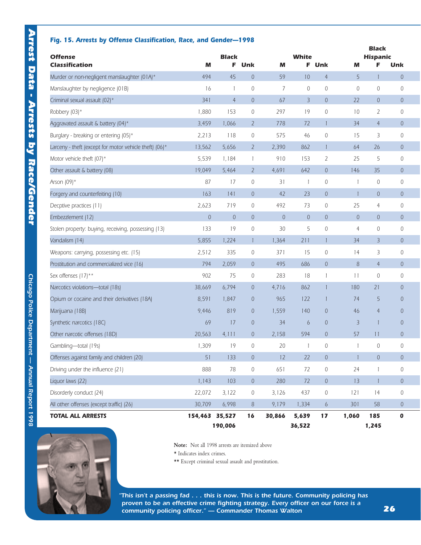### *Fig. 15. Arrests by Offense Classification, Race, and Gender—1998*

| <b>Offense</b>                                         |                | <b>Black</b>   |                |                | <b>White</b>    |                  |                | Black<br><b>Hispanic</b> |                     |  |
|--------------------------------------------------------|----------------|----------------|----------------|----------------|-----------------|------------------|----------------|--------------------------|---------------------|--|
| <b>Classification</b>                                  | м              | F              | Unk            | м              | F.              | Unk              | м              | F                        | Unk                 |  |
| Murder or non-negligent manslaughter (01A)*            | 494            | 45             | $\overline{0}$ | 59             | 10              | $\overline{4}$   | 5              |                          | $\theta$            |  |
| Manslaughter by negligence (01B)                       | 16             | $\mathbf{1}$   | $\mathbf{0}$   | 7              | $\mathbf 0$     | $\theta$         | $\mathbf 0$    | $\mathbf 0$              | 0                   |  |
| Criminal sexual assault (02)*                          | 341            | $\overline{4}$ | $\overline{0}$ | 67             | $\overline{3}$  | $\overline{0}$   | 22             | $\theta$                 | $\boldsymbol{0}$    |  |
| Robbery (03)*                                          | 1,880          | 153            | $\mathcal{O}$  | 297            | 19              | $\overline{0}$   | 10             | $\overline{2}$           | 0                   |  |
| Aggravated assault & battery (04)*                     | 3,459          | 1,066          | $\overline{2}$ | 778            | 72              | $\mathbf{1}$     | 34             | $\overline{4}$           | 0                   |  |
| Burglary - breaking or entering (05)*                  | 2,213          | 118            | $\mathcal{O}$  | 575            | 46              | $\theta$         | 15             | 3                        | 0                   |  |
| Larceny - theft (except for motor vehicle theft) (06)* | 13,562         | 5,656          | $\overline{2}$ | 2.390          | 862             | $\mathbf{1}$     | 64             | 26                       | $\overline{0}$      |  |
| Motor vehicle theft (07)*                              | 5,539          | 1,184          | $\mathbf{1}$   | 910            | 153             | 2                | 25             | 5                        | 0                   |  |
| Other assault & battery (08)                           | 19,049         | 5,464          | $\overline{2}$ | 4,691          | 642             | $\overline{0}$   | 146            | 35                       | $\boldsymbol{0}$    |  |
| Arson (09)*                                            | 87             | 17             | $\overline{0}$ | 31             | $\mathbf{1}$    | $\theta$         | $\overline{1}$ | $\mathbf{0}$             | 0                   |  |
| Forgery and counterfeiting (10)                        | 163            | 141            | $\overline{0}$ | 42             | 23              | $\overline{0}$   | $\mathbf{1}$   | $\overline{0}$           | 0                   |  |
| Decptive practices (11)                                | 2,623          | 719            | $\mathcal{O}$  | 492            | 73              | $\sqrt{a}$       | 25             | $\overline{4}$           | 0                   |  |
| Embezzlement (12)                                      | $\overline{0}$ | $\overline{0}$ | $\overline{0}$ | $\overline{0}$ | $\overline{0}$  | $\overline{0}$   | $\overline{0}$ | $\overline{0}$           | $\overline{0}$      |  |
| Stolen property: buying, receiving, possessing (13)    | 133            | 19             | $\mathbf 0$    | 30             | 5               | $\theta$         | $\overline{4}$ | $\mathbf 0$              | 0                   |  |
| Vandalism (14)                                         | 5,855          | 1,224          | $\mathbf{1}$   | 1,364          | 211             | $\mathbf{1}$     | 34             | $\overline{3}$           | $\sqrt{0}$          |  |
| Weapons: carrying, possessing etc. (15)                | 2,512          | 335            | $\overline{0}$ | 371            | 15              | $\theta$         | 14             | 3                        | 0                   |  |
| Prostitution and commercialized vice (16)              | 794            | 2,059          | $\overline{0}$ | 495            | 686             | $\theta$         | 8              | $\overline{4}$           | 0                   |  |
| Sex offenses (17)**                                    | 902            | 75             | $\mathbf 0$    | 283            | 18              | 1                | 11             | $\mathbf 0$              | 0                   |  |
| Narcotics violations-total (18s)                       | 38,669         | 6,794          | $\overline{0}$ | 4,716          | 862             | $\mathbf{1}$     | 180            | 21                       | $\overline{0}$      |  |
| Opium or cocaine and their derivatives (18A)           | 8,591          | 1,847          | $\theta$       | 965            | 122             | 1                | 74             | 5                        | 0                   |  |
| Marijuana (18B)                                        | 9,446          | 819            | $\overline{0}$ | 1,559          | 140             | $\theta$         | 46             | $\overline{4}$           | 0                   |  |
| Synthetic narcotics (18C)                              | 69             | 17             | $\overline{0}$ | 34             | $\ddot{\circ}$  | $\theta$         | $\overline{3}$ | $\overline{\phantom{a}}$ | $\mathbf 0$         |  |
| Other narcotic offenses (18D)                          | 20,563         | 4,111          | $\overline{0}$ | 2,158          | 594             | $\overline{0}$   | 57             | 11                       | 0                   |  |
| Gambling-total (19s)                                   | 1,309          | 19             | 0              | 20             | 1               | $\theta$         | $\mathbf{1}$   | 0                        | 0                   |  |
| Offenses against family and children (20)              | 51             | 133            | $\theta$       | 12             | 22              | $\theta$         |                | $\overline{0}$           | 0                   |  |
| Driving under the influence (21)                       | 888            | 78             | $\mathbf 0$    | 651            | 72              | $\mathbf 0$      | 24             | $\mathbf{1}$             | 0                   |  |
| Liquor laws (22)                                       | 1,143          | 103            | $\mathbf 0$    | 280            | 72              | $\mathbf 0$      | 13             | $\overline{1}$           | $\mathsf{O}\xspace$ |  |
| Disorderly conduct (24)                                | 22,072         | 3,122          | $\mathbb O$    | 3,126          | 437             | $\mathbf 0$      | 121            | 14                       | $\boldsymbol{0}$    |  |
| All other offenses (except traffic) (26)               | 30,709         | 6,998          | $8\,$          | 9,179          | 1,334           | $\boldsymbol{6}$ | 301            | 58                       | $\boldsymbol{0}$    |  |
| <b>TOTAL ALL ARRESTS</b>                               | 154,463 35,527 | 190,006        | 16             | 30,866         | 5,639<br>36,522 | 17               | 1,060          | 185<br>1,245             | $\pmb{0}$           |  |



**Note:** Not all 1998 arrests are itemized above

 $\star$  Indicates index crimes.

\*\* Except criminal sexual assault and prostitution.

*"This isn't a passing fad . . . this is now. This is the future. Community policing has proven to be an effective crime fighting strategy. Every officer on our force is a community policing officer." — Commander Thomas Walton*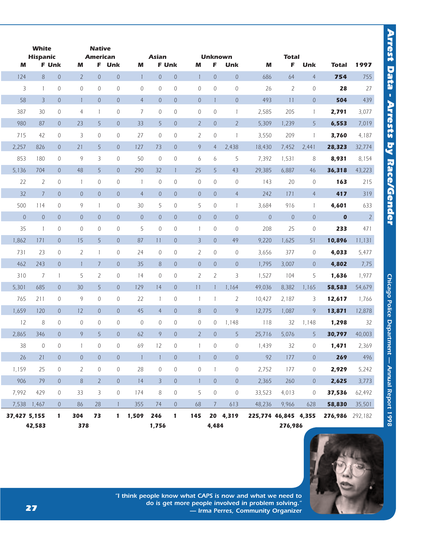|              | <b>White</b><br><b>Hispanic</b> |                |                | <b>Native</b><br><b>American</b> |                  |                | <b>Asian</b>   |                  |                  | <b>Unknown</b>   |                |                      | <b>Total</b>   |                |                 |                |
|--------------|---------------------------------|----------------|----------------|----------------------------------|------------------|----------------|----------------|------------------|------------------|------------------|----------------|----------------------|----------------|----------------|-----------------|----------------|
| м            |                                 | <b>F</b> Unk   | M              |                                  | F Unk            | M              | <b>F</b> Unk   |                  | M                | F                | Unk            | M                    | F              | Unk            | <b>Total</b>    | 1997           |
| 124          | 8                               | $\overline{0}$ | $\overline{2}$ | $\overline{0}$                   | $\theta$         | $\overline{1}$ | $\overline{0}$ | $\sqrt{0}$       | $\mathbf{1}$     | $\overline{0}$   | $\theta$       | 686                  | 64             | $\overline{4}$ | 754             | 755            |
| 3            | $\mathbf{1}$                    | 0              | $\overline{0}$ | 0                                | 0                | 0              | $\mathbf{0}$   | $\mathbf 0$      | $\overline{0}$   | $\mathbf 0$      | $\mathbf 0$    | 26                   | $\overline{2}$ | 0              | 28              | 27             |
| 58           | $\overline{3}$                  | $\overline{0}$ | $\mathbf{1}$   | $\overline{0}$                   | $\overline{0}$   | $\overline{4}$ | $\overline{0}$ | $\theta$         | $\sqrt{a}$       | $\mathbf{1}$     | $\theta$       | 493                  | 11             | $\overline{0}$ | 504             | 439            |
| 387          | 30                              | 0              | 4              | $\mathbf{1}$                     | $\mathbf 0$      | 7              | $\mathbf{0}$   | $\sqrt{0}$       | $\mathbf{0}$     | $\mathbf 0$      | $\mathbf{1}$   | 2,585                | 205            | $\mathbf{1}$   | 2,791           | 3,077          |
| 980          | 87                              | $\overline{0}$ | 23             | 5                                | $\overline{0}$   | 33             | 5              | $\theta$         | $\overline{2}$   | $\mathbf 0$      | $\overline{2}$ | 5,309                | 1,239          | 5              | 6,553           | 7,019          |
| 715          | 42                              | $\overline{0}$ | 3              | $\overline{0}$                   | $\mathbf 0$      | 27             | $\sqrt{0}$     | $\sqrt{0}$       | $\overline{2}$   | $\mathbb O$      | $\mathbf{1}$   | 3,550                | 209            | $\mathbf{1}$   | 3,760           | 4,187          |
| 2,257        | 826                             | $\overline{0}$ | 21             | 5                                | $\overline{0}$   | 127            | 73             | $\overline{0}$   | 9                | $\overline{4}$   | 2,438          | 18,430               | 7,452          | 2,441          | 28,323          | 32,774         |
| 853          | 180                             | $\overline{0}$ | 9              | 3                                | 0                | 50             | $\mathbf{0}$   | $\mathbf 0$      | 6                | 6                | 5              | 7,392                | 1,531          | 8              | 8,931           | 8,154          |
| 5,136        | 704                             | $\overline{0}$ | 48             | 5                                | $\overline{0}$   | 290            | 32             | $\mathbf{1}$     | 25               | 5                | 43             | 29,385               | 6,887          | 46             | 36,318          | 43,223         |
| 22           | $\overline{2}$                  | 0              | $\mathbf{1}$   | 0                                | $\mathbf 0$      | $\overline{1}$ | $\mathbf{0}$   | $\mathbf 0$      | $\mathbf 0$      | $\mathbf 0$      | $\overline{0}$ | 143                  | 20             | 0              | 163             | 215            |
| 32           | $\overline{7}$                  | $\overline{0}$ | $\theta$       | $\overline{0}$                   | $\boldsymbol{0}$ | $\overline{4}$ | $\overline{0}$ | $\mathbf 0$      | $\sqrt{a}$       | $\boldsymbol{0}$ | $\overline{4}$ | 242                  | 171            | $\overline{4}$ | 417             | 319            |
| 500          | 114                             | $\Omega$       | 9              | $\mathbf{1}$                     | $\mathbf 0$      | 30             | 5              | $\sqrt{0}$       | 5                | $\mathbf 0$      | $\mathbf{1}$   | 3,684                | 916            | $\mathbf{1}$   | 4,601           | 633            |
| $\theta$     | $\theta$                        | $\overline{0}$ | $\theta$       | $\overline{0}$                   | $\overline{0}$   | $\theta$       | $\overline{0}$ | $\overline{0}$   | $\overline{0}$   | $\boldsymbol{0}$ | $\theta$       | $\overline{0}$       | $\mathbb O$    | $\overline{0}$ | $\pmb{0}$       | $\overline{2}$ |
| 35           | $\mathbf{1}$                    | 0              | $\theta$       | 0                                | 0                | 5              | $\sqrt{0}$     | $\mathbf 0$      | $\mathbf{1}$     | $\mathbb O$      | $\mathbf{0}$   | 208                  | 25             | 0              | 233             | 471            |
| 1,862        | 171                             | $\overline{0}$ | 15             | 5                                | $\overline{0}$   | 87             | 11             | $\theta$         | $\overline{3}$   | $\sqrt{0}$       | 49             | 9,220                | 1,625          | 51             | 10,896          | 11,131         |
| 731          | 23                              | $\overline{0}$ | $\overline{2}$ | $\mathbf{1}$                     | $\overline{0}$   | 24             | $\mathbf 0$    | $\sqrt{0}$       | $\overline{2}$   | $\mathbf 0$      | $\mathbf 0$    | 3,656                | 377            | 0              | 4,033           | 5,477          |
| 462          | 243                             | $\overline{0}$ | $\mathbf{1}$   | $\overline{7}$                   | $\mathbf 0$      | 35             | 8              | $\theta$         | $\boldsymbol{0}$ | $\mathbf 0$      | $\overline{0}$ | 1,795                | 3,007          | $\overline{0}$ | 4,802           | 7,75           |
| 310          | $\overline{7}$                  | $\mathbf{1}$   | 5              | $\overline{2}$                   | $\mathbf 0$      | 14             | $\mathbf{0}$   | $\sqrt{0}$       | $\overline{2}$   | $\overline{2}$   | 3              | 1,527                | 104            | 5              | 1,636           | 1,977          |
| 5,301        | 685                             | $\overline{0}$ | 30             | 5                                | $\overline{0}$   | 129            | 14             | $\overline{0}$   | 11               | $\vert$          | 1,164          | 49,036               | 8,382          | 1,165          | 58,583          | 54,679         |
| 765          | 211                             | $\mathbf{0}$   | 9              | 0                                | 0                | 22             | $\overline{1}$ | $\sqrt{0}$       | $\mathbf{1}$     | $\mathbf{1}$     | $\overline{2}$ | 10,427               | 2,187          | 3              | 12,617          | 1,766          |
| 1,659        | 120                             | $\overline{0}$ | 12             | $\overline{0}$                   | $\overline{0}$   | 45             | $\overline{4}$ | $\sqrt{0}$       | 8                | $\theta$         | 9              | 12,775               | 1,087          | 9              | 13,871          | 12,878         |
| 12           | 8                               | 0              | $\overline{0}$ | 0                                | $\mathbf 0$      | $\mathbf{0}$   | $\sqrt{0}$     | $\mathbf 0$      | $\mathbf 0$      | 0                | 1,148          | 118                  | 32             | 1,148          | 1,298           | 32             |
| 2,865        | 346                             | $\overline{0}$ | 9              | 5                                | $\overline{0}$   | 62             | 9              | $\boldsymbol{0}$ | $\overline{2}$   | $\mathbf 0$      | 5              | 25,716               | 5,076          | 5              | 30,797          | 40,003         |
| 38           | $\overline{0}$                  | 0              | $\mathbf{1}$   | $\overline{0}$                   | $\Omega$         | 69             | 12             | $\mathbf 0$      | $\mathbf{1}$     | $\mathbf 0$      | $\mathbf{0}$   | 1,439                | 32             | $\overline{0}$ | 1,471           | 2,369          |
| 26           | 21                              | $\overline{0}$ | $\sqrt{a}$     | $\sqrt{a}$                       | $\theta$         | $\overline{1}$ | $\mathbf{1}$   | $\overline{0}$   | $\mathbf{1}$     | $\boldsymbol{0}$ | $\theta$       | 92                   | 177            | $\mathbb O$    | 269             | 496            |
| 1,159        | 25                              | $\overline{0}$ | $\overline{2}$ | $\overline{0}$                   | $\mathbf 0$      | 28             | 0              | $\mathbb O$      | $\overline{0}$   | $\mathbf{1}$     | $\mathbf{0}$   | 2,752                | 177            | 0              | 2,929           | 5,242          |
| 906          | 79                              | $\overline{0}$ | 8              | $\overline{2}$                   | $\theta$         | 14             | $\overline{3}$ | $\overline{0}$   | $\mathbf{1}$     | $\overline{0}$   | $\overline{0}$ | 2,365                | 260            | $\overline{0}$ | 2,625           | 3,773          |
| 7,992        | 429                             | $\mathbf{0}$   | 33             | 3                                | $\overline{0}$   | 174            | 8              | $\mathbb O$      | 5                | $\mathcal O$     | $\mathbf 0$    | 33,523               | 4,013          | 0              | 37,536          | 62,492         |
| 7,538        | 1,467                           | $\overline{0}$ | 86             | 28                               | $\mathbf{1}$     | 355            | 74             | $\,0\,$          | 68               | $7\overline{ }$  | 613            | 48,236               | 9,966          | 628            | 58,830          | 35,501         |
| 37,427 5,155 | 42,583                          | $\mathbf{1}$   | 304<br>378     | 73                               | $\mathbf{1}$     | 1,509          | 246<br>1,756   | $\mathbf{1}$     | 145              | 4,484            | 20 4,319       | 225,774 46,845 4,355 | 276,986        |                | 276,986 292,182 |                |



*"I think people know what CAPS is now and what we need to do is get more people involved in problem solving." — Irma Perres, Community Organizer*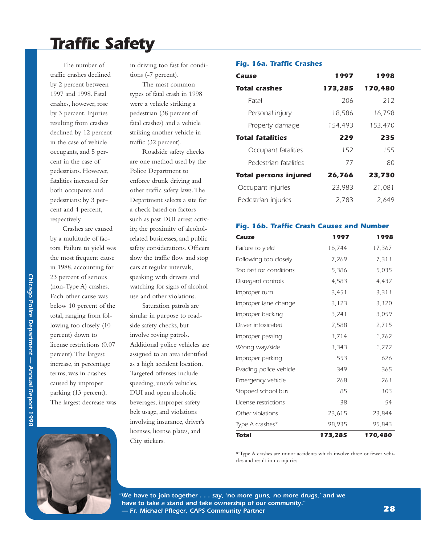## *Traffic Safety*

The number of traffic crashes declined by 2 percent between 1997 and 1998. Fatal crashes, however, rose by 3 percent. Injuries resulting from crashes declined by 12 percent in the case of vehicle occupants, and 5 percent in the case of pedestrians. However, fatalities increased for both occupants and pedestrians: by 3 percent and 4 percent, respectively.

Crashes are caused by a multitude of factors. Failure to yield was the most frequent cause in 1988, accounting for 23 percent of serious (non-Type A) crashes. Each other cause was below 10 percent of the total, ranging from following too closely (10 percent) down to license restrictions (0.07 percent).The largest increase, in percentage terms, was in crashes caused by improper parking (13 percent). The largest decrease was in driving too fast for conditions (-7 percent).

The most common types of fatal crash in 1998 were a vehicle striking a pedestrian (38 percent of fatal crashes) and a vehicle striking another vehicle in traffic (32 percent).

Roadside safety checks are one method used by the Police Department to enforce drunk driving and other traffic safety laws.The Department selects a site for a check based on factors such as past DUI arrest activity, the proximity of alcoholrelated businesses, and public safety considerations. Officers slow the traffic flow and stop cars at regular intervals, speaking with drivers and watching for signs of alcohol use and other violations.

Saturation patrols are similar in purpose to roadside safety checks, but involve roving patrols. Additional police vehicles are assigned to an area identified as a high accident location. Targeted offenses include speeding, unsafe vehicles, DUI and open alcoholic beverages, improper safety belt usage, and violations involving insurance, driver's licenses, license plates, and City stickers.

### *Fig. 16a. Traffic Crashes*

| Cause                        | 1997    | 1998    |
|------------------------------|---------|---------|
| <b>Total crashes</b>         | 173,285 | 170,480 |
| Fatal                        | 206     | 212     |
| Personal injury              | 18.586  | 16,798  |
| Property damage              | 154,493 | 153,470 |
| <b>Total fatalities</b>      | 229     | 235     |
| Occupant fatalities          | 152     | 155     |
| Pedestrian fatalities        | 77      | 80      |
| <b>Total persons injured</b> | 26,766  | 23,730  |
| Occupant injuries            | 23,983  | 21.081  |
| Pedestrian injuries          | 2.783   | 2.649   |

### *Fig. 16b. Traffic Crash Causes and Number*

| Cause                   | 1997    | 1998    |
|-------------------------|---------|---------|
| Failure to yield        | 16,744  | 17,367  |
| Following too closely   | 7,269   | 7,311   |
| Too fast for conditions | 5,386   | 5,035   |
| Disregard controls      | 4,583   | 4,432   |
| Improper turn           | 3,451   | 3,311   |
| Improper lane change    | 3,123   | 3,120   |
| Improper backing        | 3,241   | 3,059   |
| Driver intoxicated      | 2,588   | 2,715   |
| Improper passing        | 1,714   | 1,762   |
| Wrong way/side          | 1,343   | 1,272   |
| Improper parking        | 553     | 626     |
| Evading police vehicle  | 349     | 365     |
| Emergency vehicle       | 268     | 261     |
| Stopped school bus      | 85      | 103     |
| License restrictions    | 38      | 54      |
| Other violations        | 23,615  | 23,844  |
| Type A crashes*         | 98,935  | 95,843  |
| <b>Total</b>            | 173,285 | 170,480 |

\* Type A crashes are minor accidents which involve three or fewer vehicles and result in no injuries.



*"We have to join together . . . say, 'no more guns, no more drugs,' and we have to take a stand and take ownership of our community." — Fr. Michael Pfleger, CAPS Community Partner*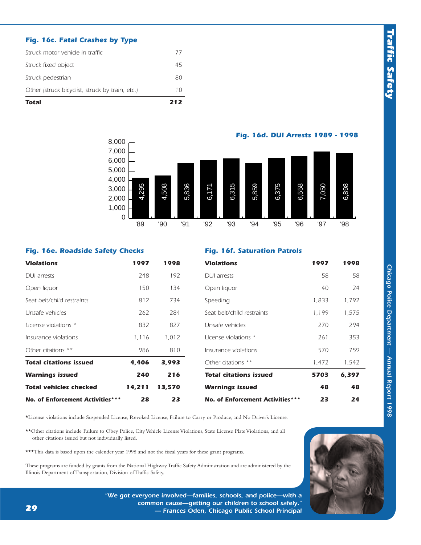### *Fig. 16c. Fatal Crashes by Type*

| Total                                           | 212 |
|-------------------------------------------------|-----|
| Other (struck bicyclist, struck by train, etc.) | 10  |
| Struck pedestrian                               | 80  |
| Struck fixed object                             | 45  |
| Struck motor vehicle in traffic                 | 77  |

7,000 8,000 *Fig. 16d. DUI Arrests 1989 - 1998*



### *Fig. 16e. Roadside Safety Checks*

### *Fig. 16f. Saturation Patrols*

| <b>Violations</b>                | 1997   | 1998   | <b>Violations</b>                | 1997  | 1998  |
|----------------------------------|--------|--------|----------------------------------|-------|-------|
| DUI arrests                      | 248    | 192    | <b>DUI</b> arrests               | 58    | 58    |
| Open liquor                      | 150    | 134    | Open liquor                      | 40    | 24    |
| Seat belt/child restraints       | 812    | 734    | Speeding                         | 1,833 | 1,792 |
| Unsafe vehicles                  | 262    | 284    | Seat belt/child restraints       | 1,199 | 1,575 |
| License violations *             | 832    | 827    | Unsafe vehicles                  | 270   | 294   |
| Insurance violations             | 1,116  | 1,012  | License violations *             | 261   | 353   |
| Other citations **               | 986    | 810    | Insurance violations             | 570   | 759   |
| <b>Total citations issued</b>    | 4,406  | 3,993  | Other citations **               | 1,472 | 1,542 |
| <b>Warnings issued</b>           | 240    | 216    | <b>Total citations issued</b>    | 5703  | 6,397 |
| <b>Total vehicles checked</b>    | 14,211 | 13,570 | <b>Warnings issued</b>           | 48    | 48    |
| No. of Enforcement Activities*** | 28     | 23     | No. of Enforcement Activities*** | 23    | 24    |

\*License violations include Suspended License, Revoked License, Failure to Carry or Produce, and No Driver's License.

\*\*Other citations include Failure to Obey Police, City Vehicle License Violations, State License Plate Violations, and all other citations issued but not individually listed.

\*\*\*This data is based upon the calender year 1998 and not the fiscal years for these grant programs.

These programs are funded by grants from the National Highway Traffic Safety Administration and are administered by the Illinois Department of Transportation, Division of Traffic Safety.



*"We got everyone involved—families, schools, and police—with a common cause—getting our children to school safely." — Frances Oden, Chicago Public School Principal*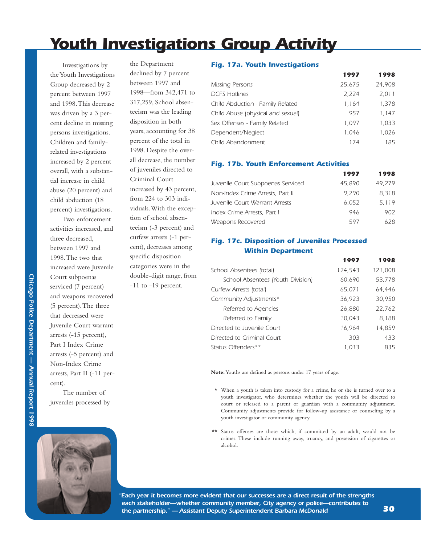## *Youth Investigations Group Activity*

Investigations by the Youth Investigations Group decreased by 2 percent between 1997 and 1998.This decrease was driven by a 3 percent decline in missing persons investigations. Children and familyrelated investigations increased by 2 percent overall, with a substantial increase in child abuse (20 percent) and child abduction (18 percent) investigations.

Two enforcement activities increased, and three decreased, between 1997 and 1998.The two that increased were Juvenile Court subpoenas serviced (7 percent) and weapons recovered (5 percent).The three that decreased were Juvenile Court warrant arrests (-15 percent), Part I Index Crime arrests (-5 percent) and Non-Index Crime arrests, Part II (-11 percent).

The number of juveniles processed by



the Department declined by 7 percent between 1997 and 1998—from 342,471 to 317,259, School absenteeism was the leading disposition in both years, accounting for 38 percent of the total in 1998. Despite the overall decrease, the number of juveniles directed to Criminal Court increased by 43 percent, from 224 to 303 individuals.With the exception of school absenteeism (-3 percent) and curfew arrests (-1 percent), decreases among specific disposition categories were in the

double-digit range, from -11 to -19 percent.

### *Fig. 17a. Youth Investigations*

|                                   | 1997   | 1998   |
|-----------------------------------|--------|--------|
| Missing Persons                   | 25,675 | 24,908 |
| <b>DCFS Hotlines</b>              | 2,224  | 2,011  |
| Child Abduction - Family Related  | 1,164  | 1,378  |
| Child Abuse (physical and sexual) | 957    | 1,147  |
| Sex Offenses - Family Related     | 1,097  | 1,033  |
| Dependent/Neglect                 | 1.046  | 1,026  |
| Child Abandonment                 | 174    | 185    |

### *Fig. 17b. Youth Enforcement Activities*

|                                   | 1997   | 1998   |
|-----------------------------------|--------|--------|
| Juvenile Court Subpoenas Serviced | 45,890 | 49,279 |
| Non-Index Crime Arrests, Part II  | 9.290  | 8.318  |
| Juvenile Court Warrant Arrests    | 6.052  | 5.119  |
| Index Crime Arrests, Part I       | 946    | 902    |
| Weapons Recovered                 | 597    | 628.   |

### *Fig. 17c. Disposition of Juveniles Processed Within Department*

|                                   | 1997    | 1998    |
|-----------------------------------|---------|---------|
| School Absentees (total)          | 124,543 | 121,008 |
| School Absentees (Youth Division) | 60,690  | 53,778  |
| Curfew Arrests (total)            | 65,071  | 64,446  |
| Community Adjustments*            | 36,923  | 30,950  |
| Referred to Agencies              | 26,880  | 22,762  |
| Referred to Family                | 10,043  | 8,188   |
| Directed to Juvenile Court        | 16,964  | 14,859  |
| Directed to Criminal Court        | 303     | 433     |
| Status Offenders**                | 1.013   | 835     |

**Note:**Youths are defined as persons under 17 years of age.

- \* When a youth is taken into custody for a crime, he or she is turned over to a youth investigator, who determines whether the youth will be directed to court or released to a parent or guardian with a community adjustment. Community adjustments provide for follow-up assistance or counseling by a youth investigator or community agency
- \*\* Status offenses are those which, if committed by an adult, would not be crimes. These include running away, truancy, and possession of cigarettes or alcohol.

*"Each year it becomes more evident that our successes are a direct result of the strengths each stakeholder—whether community member, City agency or police—contributes to the partnership." — Assistant Deputy Superintendent Barbara McDonald*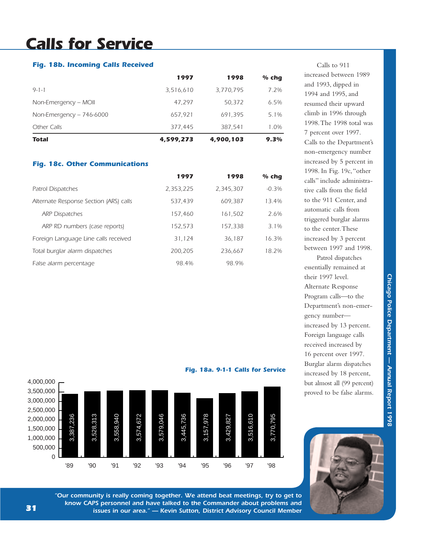## *Calls for Service*

### *Fig. 18b. Incoming Calls Received*

| Total                     | 4,599,273 | 4,900,103 | 9.3%    |
|---------------------------|-----------|-----------|---------|
| Other Calls               | 377.445   | 387.541   | 1.0%    |
| Non-Emergency $-746-6000$ | 657,921   | 691,395   | $5.1\%$ |
| Non-Emergency – MOII      | 47.297    | 50.372    | 6.5%    |
| $9 - 1 - 1$               | 3,516,610 | 3,770,795 | 7.2%    |
|                           | 1997      | 1998      | $%$ chg |

### *Fig. 18c. Other Communications*

|                                        | 1997      | 1998      | $%$ chq |
|----------------------------------------|-----------|-----------|---------|
| <b>Patrol Dispatches</b>               | 2,353,225 | 2,345,307 | $-0.3%$ |
| Alternate Response Section (ARS) calls | 537.439   | 609.387   | 13.4%   |
| <b>ARP Dispatches</b>                  | 157.460   | 161,502   | 2.6%    |
| ARP RD numbers (case reports)          | 152,573   | 157,338   | $3.1\%$ |
| Foreign Language Line calls received   | 31,124    | 36.187    | 16.3%   |
| Total burglar alarm dispatches         | 200.205   | 236.667   | 18.2%   |
| False alarm percentage                 | 98.4%     | 98.9%     |         |

Calls to 911 increased between 1989 and 1993, dipped in 1994 and 1995, and resumed their upward climb in 1996 through 1998.The 1998 total was 7 percent over 1997. Calls to the Department's non-emergency number increased by 5 percent in 1998. In Fig. 19c,"other calls" include administrative calls from the field to the 911 Center, and automatic calls from triggered burglar alarms to the center.These increased by 3 percent between 1997 and 1998.

Patrol dispatches essentially remained at their 1997 level. Alternate Response Program calls—to the Department's non-emergency number increased by 13 percent. Foreign language calls received increased by 16 percent over 1997. Burglar alarm dispatches increased by 18 percent, but almost all (99 percent) proved to be false alarms.





*"Our community is really coming together. We attend beat meetings, try to get to know CAPS personnel and have talked to the Commander about problems and issues in our area." — Kevin Sutton, District Advisory Council Member*

*Fig. 18a. 9-1-1 Calls for Service*

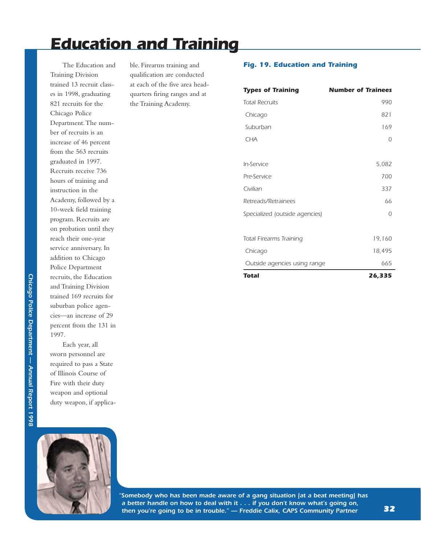## *Education and Training*

The Education and Training Division trained 13 recruit classes in 1998, graduating 821 recruits for the Chicago Police Department.The number of recruits is an increase of 46 percent from the 563 recruits graduated in 1997. Recruits receive 736 hours of training and instruction in the Academy, followed by a 10-week field training program. Recruits are on probation until they reach their one-year service anniversary. In addition to Chicago Police Department recruits, the Education and Training Division trained 169 recruits for suburban police agencies—an increase of 29 percent from the 131 in 1997.

Each year, all sworn personnel are required to pass a State of Illinois Course of Fire with their duty weapon and optional duty weapon, if applicable. Firearms training and qualification are conducted at each of the five area headquarters firing ranges and at the Training Academy.

### *Fig. 19. Education and Training*

| <b>Types of Training</b>       | <b>Number of Trainees</b> |
|--------------------------------|---------------------------|
| <b>Total Recruits</b>          | 990                       |
| Chicago                        | 821                       |
| Suburban                       | 169                       |
| <b>CHA</b>                     | 0                         |
|                                |                           |
| In-Service                     | 5,082                     |
| Pre-Service                    | 700                       |
| Civilian                       | 337                       |
| Retreads/Retrainees            | 66                        |
| Specialized (outside agencies) | 0                         |
|                                |                           |
| <b>Total Firearms Training</b> | 19,160                    |
| Chicago                        | 18,495                    |
| Outside agencies using range   | 665                       |
| Total                          | 26,335                    |



*"Somebody who has been made aware of a gang situation [at a beat meeting] has a better handle on how to deal with it . . . if you don't know what's going on, then you're going to be in trouble." — Freddie Calix, CAPS Community Partner*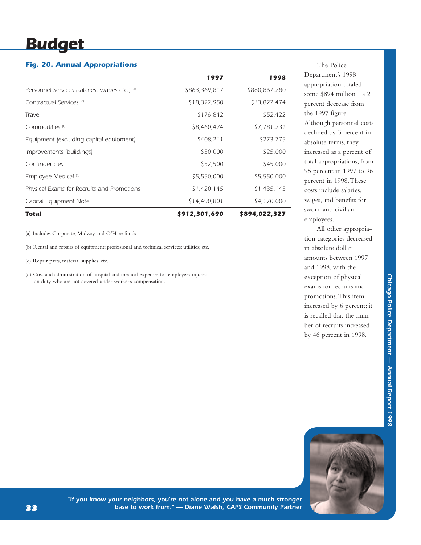## *Budget*

### *Fig. 20. Annual Appropriations*

| Capital Equipment Note                        | \$14,490,801<br>\$912,301,690 | \$4,170,000<br>\$894,022,327 |
|-----------------------------------------------|-------------------------------|------------------------------|
|                                               |                               |                              |
| Physical Exams for Recruits and Promotions    | \$1,420,145                   | \$1,435,145                  |
| Employee Medical (d)                          | \$5,550,000                   | \$5,550,000                  |
| Contingencies                                 | \$52,500                      | \$45,000                     |
| Improvements (buildings)                      | \$50,000                      | \$25,000                     |
| Equipment (excluding capital equipment)       | \$408,211                     | \$273,775                    |
| Commodities <sup>(c)</sup>                    | \$8,460,424                   | \$7,781,231                  |
| Travel                                        | \$176,842                     | \$52,422                     |
| Contractual Services <sup>(b)</sup>           | \$18,322,950                  | \$13,822,474                 |
| Personnel Services (salaries, wages etc.) (a) | \$863,369,817                 | \$860,867,280                |
|                                               | 1997                          | 1998                         |

(a) Includes Corporate, Midway and O'Hare funds

(b) Rental and repairs of equipment; professional and technical services; utilities; etc.

(c) Repair parts, material supplies, etc.

(d) Cost and administration of hospital and medical expenses for employees injured on duty who are not covered under worker's compensation.

The Police Department's 1998 appropriation totaled some \$894 million—a 2 percent decrease from the 1997 figure. Although personnel costs declined by 3 percent in absolute terms, they increased as a percent of total appropriations, from 95 percent in 1997 to 96 percent in 1998.These costs include salaries, wages, and benefits for sworn and civilian employees.

All other appropriation categories decreased in absolute dollar amounts between 1997 and 1998, with the exception of physical exams for recruits and promotions.This item increased by 6 percent; it is recalled that the number of recruits increased by 46 percent in 1998.



*"If you know your neighbors, you're not alone and you have a much stronger base to work from." — Diane Walsh, CAPS Community Partner*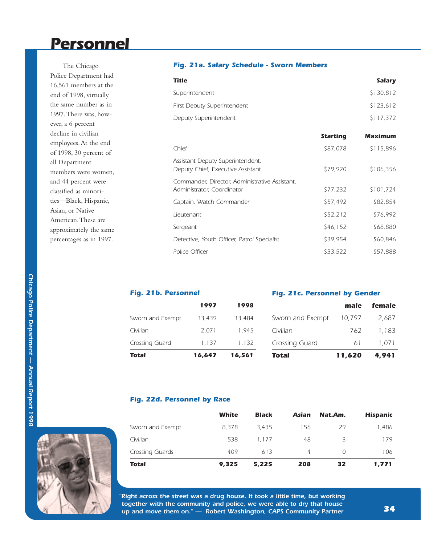### *Personnel*

The Chicago Police Department had 16,561 members at the end of 1998, virtually the same number as in 1997.There was, however, a 6 percent decline in civilian employees.At the end of 1998, 30 percent of all Department members were women, and 44 percent were classified as minorities—Black, Hispanic, Asian, or Native American.These are approximately the same percentages as in 1997.

### *Fig. 21a. Salary Schedule - Sworn Members*

| <b>Title</b>                |                 | <b>Salary</b>  |
|-----------------------------|-----------------|----------------|
| Superintendent              |                 | \$130,812      |
| First Deputy Superintendent |                 | \$123,612      |
| Deputy Superintendent       |                 | \$117,372      |
|                             | <b>Starting</b> | <b>Maximum</b> |
| Chief                       | \$87,078        | \$115,896      |

| <u>criier</u>                                                                | Y01,U76  | 3115,870  |
|------------------------------------------------------------------------------|----------|-----------|
| Assistant Deputy Superintendent,<br>Deputy Chief, Executive Assistant        | \$79,920 | \$106,356 |
| Commander, Director, Administrative Assistant,<br>Administrator, Coordinator | \$77,232 | \$101,724 |
| Captain, Watch Commander                                                     | \$57,492 | \$82,854  |
| Lieutenant                                                                   | \$52,212 | \$76.992  |
| Sergeant                                                                     | \$46,152 | \$68,880  |
| Detective, Youth Officer, Patrol Specialist                                  | \$39,954 | \$60,846  |
| Police Officer                                                               | \$33,522 | \$57,888  |

| Fig. 21b. Personnel |        | Fig. 21c. Personnel by Gender |                  |        |        |
|---------------------|--------|-------------------------------|------------------|--------|--------|
|                     | 1997   | 1998                          |                  | male   | female |
| Sworn and Exempt    | 13.439 | 13,484                        | Sworn and Exempt | 10.797 | 2,687  |
| Civilian            | 2.071  | 1.945                         | Civilian         | 762    | 1.183  |
| Crossing Guard      | 1.137  | 1.132                         | Crossing Guard   | 61     | 1.071  |
| Total               | 16.647 | 16.561                        | Total            | 11.620 | 4.941  |

### *Fig. 22d. Personnel by Race*

|                  | White | <b>Black</b> | <b>Asian</b> | Nat.Am.          | <b>Hispanic</b> |
|------------------|-------|--------------|--------------|------------------|-----------------|
| Sworn and Exempt | 8.378 | 3.435        | 156          | 29               | 1.486           |
| Civilian         | 538   | 1.177        | 48           | 3                | 179             |
| Crossing Guards  | 409   | 613          | 4            | $\left( \right)$ | 106             |
| <b>Total</b>     | 9,325 | 5,225        | 208          | 32               | 1,771           |

*"Right across the street was a drug house. It took a little time, but working together with the community and police, we were able to dry that house up and move them on." — Robert Washington, CAPS Community Partner*

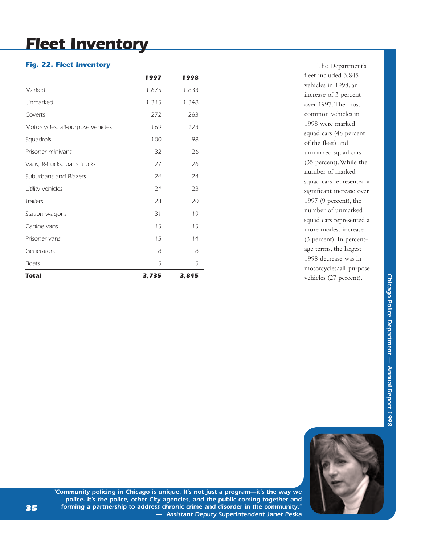## *Fleet Inventory*

### *Fig. 22. Fleet Inventory*

| Marked                            | 1,675 | 1,833 |
|-----------------------------------|-------|-------|
| Unmarked                          | 1,315 | 1,348 |
| Coverts                           | 272   | 263   |
| Motorcycles, all-purpose vehicles | 169   | 123   |
| Squadrols                         | 100   | 98    |
| Prisoner minivans                 | 32    | 26    |
| Vans, R-trucks, parts trucks      | 27    | 26    |
| Suburbans and Blazers             | 24    | 24    |
| Utility vehicles                  | 24    | 23    |
| <b>Trailers</b>                   | 23    | 20    |
| Station wagons                    | 31    | 19    |
| Canine vans                       | 15    | 15    |
| Prisoner vans                     | 15    | 14    |
| Generators                        | 8     | 8     |
| <b>Boats</b>                      | 5     | 5     |
| <b>Total</b>                      | 3,735 | 3,845 |

The Department's fleet included 3,845 vehicles in 1998, an increase of 3 percent over 1997.The most common vehicles in 1998 were marked squad cars (48 percent of the fleet) and unmarked squad cars (35 percent).While the number of marked squad cars represented a significant increase over 1997 (9 percent), the number of unmarked squad cars represented a more modest increase (3 percent). In percentage terms, the largest 1998 decrease was in motorcycles/all-purpose vehicles (27 percent).



*"Community policing in Chicago is unique. It's not just a program—it's the way we police. It's the police, other City agencies, and the public coming together and forming a partnership to address chronic crime and disorder in the community." — Assistant Deputy Superintendent Janet Peska*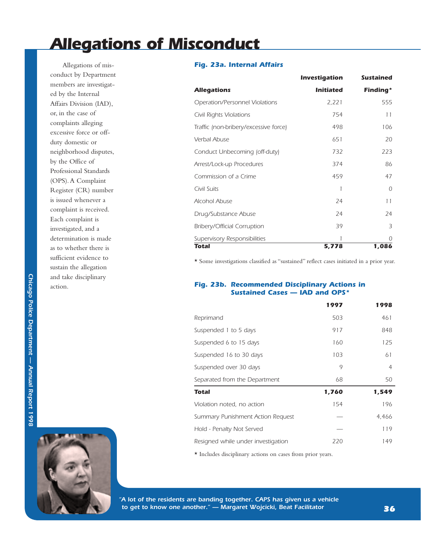## *Allegations of Misconduct*

Allegations of misconduct by Department members are investigated by the Internal Affairs Division (IAD), or, in the case of complaints alleging excessive force or offduty domestic or neighborhood disputes, by the Office of Professional Standards (OPS).A Complaint Register (CR) number is issued whenever a complaint is received. Each complaint is investigated, and a determination is made as to whether there is sufficient evidence to sustain the allegation and take disciplinary action.



### *Fig. 23a. Internal Affairs*

|                                       | Investigation    | <b>Sustained</b> |
|---------------------------------------|------------------|------------------|
| <b>Allegations</b>                    | <b>Initiated</b> | Finding*         |
| Operation/Personnel Violations        | 2,221            | 555              |
| Civil Rights Violations               | 754              | 11               |
| Traffic (non-bribery/excessive force) | 498              | 106              |
| Verbal Abuse                          | 651              | 20               |
| Conduct Unbecoming (off-duty)         | 732              | 223              |
| Arrest/Lock-up Procedures             | 374              | 86               |
| Commission of a Crime                 | 459              | 47               |
| Civil Suits                           |                  | $\Omega$         |
| Alcohol Abuse                         | 24               | 11               |
| Drug/Substance Abuse                  | 24               | 24               |
| Bribery/Official Corruption           | 39               | 3                |
| Supervisory Responsibilities          | 1                | $\cap$           |
| Total                                 | 5,778            | 1,086            |

\* Some investigations classified as "sustained" reflect cases initiated in a prior year.

### *Fig. 23b. Recommended Disciplinary Actions in Sustained Cases — IAD and OPS\**

|                                    | 1997  | 1998  |
|------------------------------------|-------|-------|
| Reprimand                          | 503   | 461   |
| Suspended 1 to 5 days              | 917   | 848   |
| Suspended 6 to 15 days             | 160   | 125   |
| Suspended 16 to 30 days            | 103   | 61    |
| Suspended over 30 days             | 9     | 4     |
| Separated from the Department      | 68    | 50    |
|                                    |       |       |
| Total                              | 1,760 | 1,549 |
| Violation noted, no action         | 154   | 196   |
| Summary Punishment Action Request  |       | 4.466 |
| Hold - Penalty Not Served          |       | 119   |
| Resigned while under investigation | 220   | 149   |

\* Includes disciplinary actions on cases from prior years.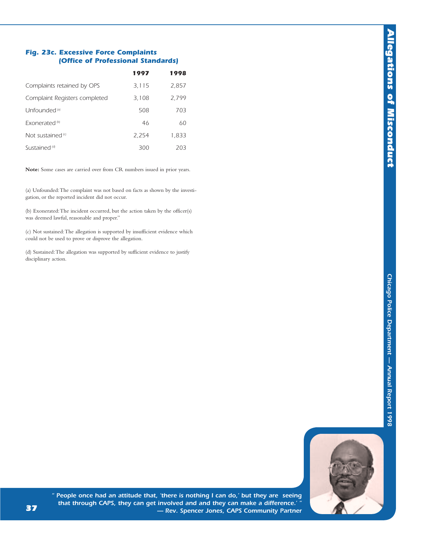### *Fig. 23c. Excessive Force Complaints (Office of Professional Standards)*

|                               | 1997  | 1998  |
|-------------------------------|-------|-------|
| Complaints retained by OPS    | 3,115 | 2,857 |
| Complaint Registers completed | 3,108 | 2,799 |
| Unfounded <sup>[a]</sup>      | 508   | 703   |
| Exonerated <sup>(b)</sup>     | 46    | 60    |
| Not sustained <sup>(c)</sup>  | 2.254 | 1,833 |
| Sustained <sup>(d)</sup>      | 300   | 203   |

**Note:** Some cases are carried over from CR numbers issued in prior years.

(a) Unfounded:The complaint was not based on facts as shown by the investigation, or the reported incident did not occur.

(b) Exonerated:The incident occurred, but the action taken by the officer(s) was deemed lawful, reasonable and proper."

(c) Not sustained:The allegation is supported by insufficient evidence which could not be used to prove or disprove the allegation.

(d) Sustained:The allegation was supported by sufficient evidence to justify disciplinary action.



*" People once had an attitude that, 'there is nothing I can do,' but they are seeing that through CAPS, they can get involved and and they can make a difference.' " — Rev. Spencer Jones, CAPS Community Partner*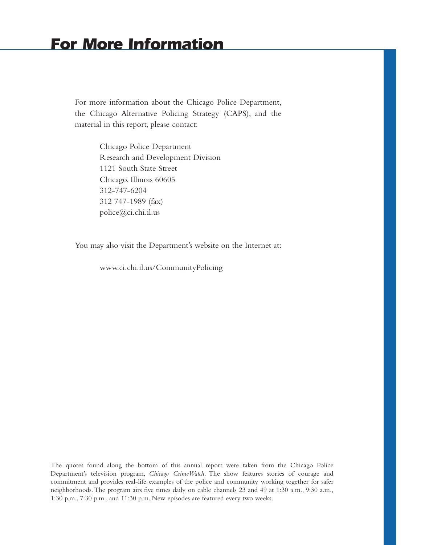### *For More Information*

For more information about the Chicago Police Department, the Chicago Alternative Policing Strategy (CAPS), and the material in this report, please contact:

> Chicago Police Department Research and Development Division 1121 South State Street Chicago, Illinois 60605 312-747-6204 312 747-1989 (fax) police@ci.chi.il.us

You may also visit the Department's website on the Internet at:

www.ci.chi.il.us/CommunityPolicing

The quotes found along the bottom of this annual report were taken from the Chicago Police Department's television program, *Chicago CrimeWatch*. The show features stories of courage and commitment and provides real-life examples of the police and community working together for safer neighborhoods.The program airs five times daily on cable channels 23 and 49 at 1:30 a.m., 9:30 a.m., 1:30 p.m., 7:30 p.m., and 11:30 p.m. New episodes are featured every two weeks.